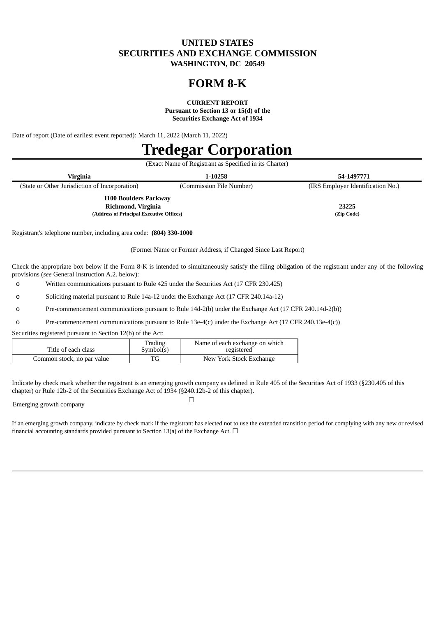## **UNITED STATES SECURITIES AND EXCHANGE COMMISSION WASHINGTON, DC 20549**

## **FORM 8-K**

**CURRENT REPORT**

**Pursuant to Section 13 or 15(d) of the Securities Exchange Act of 1934**

Date of report (Date of earliest event reported): March 11, 2022 (March 11, 2022)

# **Tredegar Corporation**

|                                                | (Exact Name of Registrant as Specified in its Charter) |                                   |
|------------------------------------------------|--------------------------------------------------------|-----------------------------------|
| Virginia                                       | 1-10258                                                | 54-1497771                        |
| (State or Other Jurisdiction of Incorporation) | (Commission File Number)                               | (IRS Employer Identification No.) |
| 1100 Boulders Parkway                          |                                                        |                                   |
| Richmond, Virginia                             |                                                        | 23225                             |
| (Address of Principal Executive Offices)       |                                                        | (Zip Code)                        |

Registrant's telephone number, including area code: **(804) 330-1000**

(Former Name or Former Address, if Changed Since Last Report)

Check the appropriate box below if the Form 8-K is intended to simultaneously satisfy the filing obligation of the registrant under any of the following provisions (*see* General Instruction A.2. below):

o Written communications pursuant to Rule 425 under the Securities Act (17 CFR 230.425)

o Soliciting material pursuant to Rule 14a-12 under the Exchange Act (17 CFR 240.14a-12)

o Pre-commencement communications pursuant to Rule 14d-2(b) under the Exchange Act (17 CFR 240.14d-2(b))

o Pre-commencement communications pursuant to Rule 13e-4(c) under the Exchange Act (17 CFR 240.13e-4(c))

Securities registered pursuant to Section 12(b) of the Act:

| Title of each class        | Trading<br>Sumbol(s) | Name of each exchange on which<br>registered |
|----------------------------|----------------------|----------------------------------------------|
| Common stock, no par value |                      | New York Stock Exchange                      |

Indicate by check mark whether the registrant is an emerging growth company as defined in Rule 405 of the Securities Act of 1933 (§230.405 of this chapter) or Rule 12b-2 of the Securities Exchange Act of 1934 (§240.12b-2 of this chapter).

 $\Box$ 

Emerging growth company

If an emerging growth company, indicate by check mark if the registrant has elected not to use the extended transition period for complying with any new or revised financial accounting standards provided pursuant to Section 13(a) of the Exchange Act.  $\Box$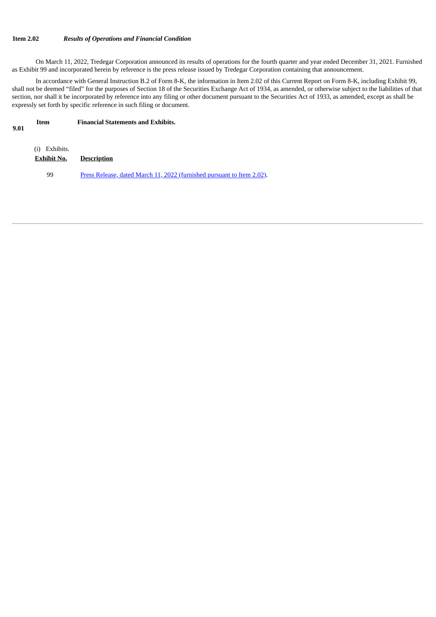## **Item 2.02** *Results of Operations and Financial Condition*

On March 11, 2022, Tredegar Corporation announced its results of operations for the fourth quarter and year ended December 31, 2021. Furnished as Exhibit 99 and incorporated herein by reference is the press release issued by Tredegar Corporation containing that announcement.

In accordance with General Instruction B.2 of Form 8-K, the information in Item 2.02 of this Current Report on Form 8-K, including Exhibit 99, shall not be deemed "filed" for the purposes of Section 18 of the Securities Exchange Act of 1934, as amended, or otherwise subject to the liabilities of that section, nor shall it be incorporated by reference into any filing or other document pursuant to the Securities Act of 1933, as amended, except as shall be expressly set forth by specific reference in such filing or document.

#### **Item Financial Statements and Exhibits.**

**9.01**

| (i) Exhibits.<br>Exhibit No. | <b>Description</b>                                                     |
|------------------------------|------------------------------------------------------------------------|
| 99                           | Press Release, dated March 11, 2022 (furnished pursuant to Item 2.02). |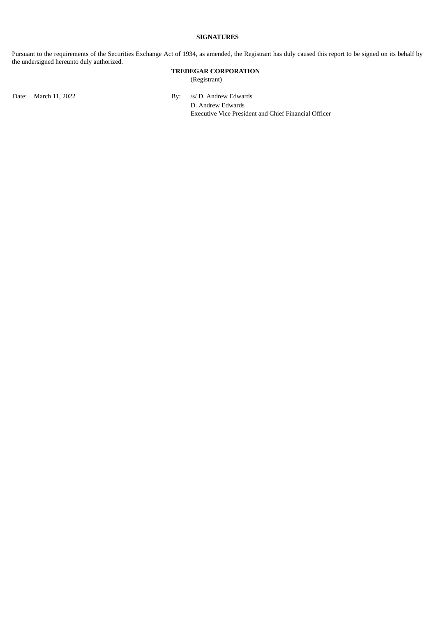## **SIGNATURES**

Pursuant to the requirements of the Securities Exchange Act of 1934, as amended, the Registrant has duly caused this report to be signed on its behalf by the undersigned hereunto duly authorized.

## **TREDEGAR CORPORATION**

(Registrant)

Date: March 11, 2022 By: /s/ D. Andrew Edwards

D. Andrew Edwards Executive Vice President and Chief Financial Officer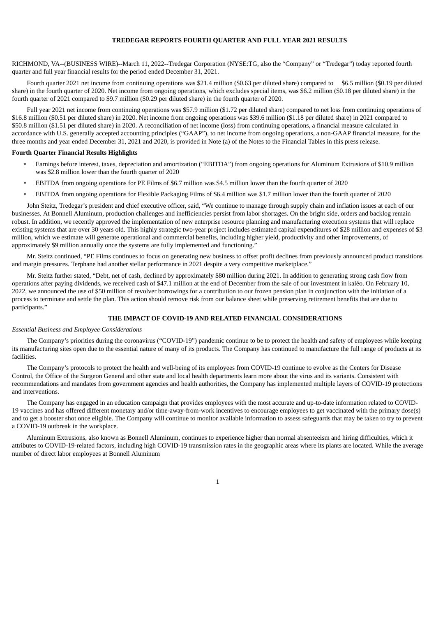## **TREDEGAR REPORTS FOURTH QUARTER AND FULL YEAR 2021 RESULTS**

<span id="page-3-0"></span>RICHMOND, VA--(BUSINESS WIRE)--March 11, 2022--Tredegar Corporation (NYSE:TG, also the "Company" or "Tredegar") today reported fourth quarter and full year financial results for the period ended December 31, 2021.

Fourth quarter 2021 net income from continuing operations was \$21.4 million (\$0.63 per diluted share) compared to \$6.5 million (\$0.19 per diluted share) in the fourth quarter of 2020. Net income from ongoing operations, which excludes special items, was \$6.2 million (\$0.18 per diluted share) in the fourth quarter of 2021 compared to \$9.7 million (\$0.29 per diluted share) in the fourth quarter of 2020.

Full year 2021 net income from continuing operations was \$57.9 million (\$1.72 per diluted share) compared to net loss from continuing operations of \$16.8 million (\$0.51 per diluted share) in 2020. Net income from ongoing operations was \$39.6 million (\$1.18 per diluted share) in 2021 compared to \$50.8 million (\$1.51 per diluted share) in 2020. A reconciliation of net income (loss) from continuing operations, a financial measure calculated in accordance with U.S. generally accepted accounting principles ("GAAP"), to net income from ongoing operations, a non-GAAP financial measure, for the three months and year ended December 31, 2021 and 2020, is provided in Note (a) of the Notes to the Financial Tables in this press release.

#### **Fourth Quarter Financial Results Highlights**

- Earnings before interest, taxes, depreciation and amortization ("EBITDA") from ongoing operations for Aluminum Extrusions of \$10.9 million was \$2.8 million lower than the fourth quarter of 2020
- EBITDA from ongoing operations for PE Films of \$6.7 million was \$4.5 million lower than the fourth quarter of 2020
- EBITDA from ongoing operations for Flexible Packaging Films of \$6.4 million was \$1.7 million lower than the fourth quarter of 2020

John Steitz, Tredegar's president and chief executive officer, said, "We continue to manage through supply chain and inflation issues at each of our businesses. At Bonnell Aluminum, production challenges and inefficiencies persist from labor shortages. On the bright side, orders and backlog remain robust. In addition, we recently approved the implementation of new enterprise resource planning and manufacturing execution systems that will replace existing systems that are over 30 years old. This highly strategic two-year project includes estimated capital expenditures of \$28 million and expenses of \$3 million, which we estimate will generate operational and commercial benefits, including higher yield, productivity and other improvements, of approximately \$9 million annually once the systems are fully implemented and functioning."

Mr. Steitz continued, "PE Films continues to focus on generating new business to offset profit declines from previously announced product transitions and margin pressures. Terphane had another stellar performance in 2021 despite a very competitive marketplace."

Mr. Steitz further stated, "Debt, net of cash, declined by approximately \$80 million during 2021. In addition to generating strong cash flow from operations after paying dividends, we received cash of \$47.1 million at the end of December from the sale of our investment in kaléo. On February 10, 2022, we announced the use of \$50 million of revolver borrowings for a contribution to our frozen pension plan in conjunction with the initiation of a process to terminate and settle the plan. This action should remove risk from our balance sheet while preserving retirement benefits that are due to participants."

#### **THE IMPACT OF COVID-19 AND RELATED FINANCIAL CONSIDERATIONS**

#### *Essential Business and Employee Considerations*

The Company's priorities during the coronavirus ("COVID-19") pandemic continue to be to protect the health and safety of employees while keeping its manufacturing sites open due to the essential nature of many of its products. The Company has continued to manufacture the full range of products at its facilities.

The Company's protocols to protect the health and well-being of its employees from COVID-19 continue to evolve as the Centers for Disease Control, the Office of the Surgeon General and other state and local health departments learn more about the virus and its variants. Consistent with recommendations and mandates from government agencies and health authorities, the Company has implemented multiple layers of COVID-19 protections and interventions.

The Company has engaged in an education campaign that provides employees with the most accurate and up-to-date information related to COVID-19 vaccines and has offered different monetary and/or time-away-from-work incentives to encourage employees to get vaccinated with the primary dose(s) and to get a booster shot once eligible. The Company will continue to monitor available information to assess safeguards that may be taken to try to prevent a COVID-19 outbreak in the workplace.

Aluminum Extrusions, also known as Bonnell Aluminum, continues to experience higher than normal absenteeism and hiring difficulties, which it attributes to COVID-19-related factors, including high COVID-19 transmission rates in the geographic areas where its plants are located. While the average number of direct labor employees at Bonnell Aluminum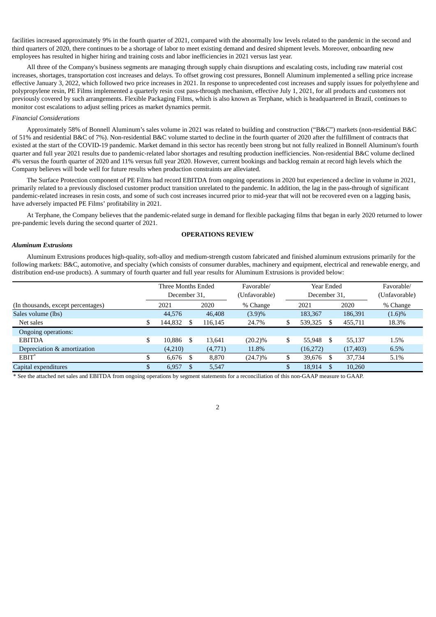facilities increased approximately 9% in the fourth quarter of 2021, compared with the abnormally low levels related to the pandemic in the second and third quarters of 2020, there continues to be a shortage of labor to meet existing demand and desired shipment levels. Moreover, onboarding new employees has resulted in higher hiring and training costs and labor inefficiencies in 2021 versus last year.

All three of the Company's business segments are managing through supply chain disruptions and escalating costs, including raw material cost increases, shortages, transportation cost increases and delays. To offset growing cost pressures, Bonnell Aluminum implemented a selling price increase effective January 3, 2022, which followed two price increases in 2021. In response to unprecedented cost increases and supply issues for polyethylene and polypropylene resin, PE Films implemented a quarterly resin cost pass-through mechanism, effective July 1, 2021, for all products and customers not previously covered by such arrangements. Flexible Packaging Films, which is also known as Terphane, which is headquartered in Brazil, continues to monitor cost escalations to adjust selling prices as market dynamics permit.

#### *Financial Considerations*

Approximately 58% of Bonnell Aluminum's sales volume in 2021 was related to building and construction ("B&C") markets (non-residential B&C of 51% and residential B&C of 7%). Non-residential B&C volume started to decline in the fourth quarter of 2020 after the fulfillment of contracts that existed at the start of the COVID-19 pandemic. Market demand in this sector has recently been strong but not fully realized in Bonnell Aluminum's fourth quarter and full year 2021 results due to pandemic-related labor shortages and resulting production inefficiencies. Non-residential B&C volume declined 4% versus the fourth quarter of 2020 and 11% versus full year 2020. However, current bookings and backlog remain at record high levels which the Company believes will bode well for future results when production constraints are alleviated.

The Surface Protection component of PE Films had record EBITDA from ongoing operations in 2020 but experienced a decline in volume in 2021, primarily related to a previously disclosed customer product transition unrelated to the pandemic. In addition, the lag in the pass-through of significant pandemic-related increases in resin costs, and some of such cost increases incurred prior to mid-year that will not be recovered even on a lagging basis, have adversely impacted PE Films' profitability in 2021.

At Terphane, the Company believes that the pandemic-related surge in demand for flexible packaging films that began in early 2020 returned to lower pre-pandemic levels during the second quarter of 2021.

#### **OPERATIONS REVIEW**

#### *Aluminum Extrusions*

Aluminum Extrusions produces high-quality, soft-alloy and medium-strength custom fabricated and finished aluminum extrusions primarily for the following markets: B&C, automotive, and specialty (which consists of consumer durables, machinery and equipment, electrical and renewable energy, and distribution end-use products). A summary of fourth quarter and full year results for Aluminum Extrusions is provided below:

|                                    |    | Three Months Ended<br>December 31, |      | Favorable/<br>(Unfavorable) |             | Year Ended<br>December 31, | Favorable/<br>(Unfavorable) |           |           |
|------------------------------------|----|------------------------------------|------|-----------------------------|-------------|----------------------------|-----------------------------|-----------|-----------|
| (In thousands, except percentages) |    | 2021                               |      | 2020                        | % Change    |                            | 2021                        | 2020      | % Change  |
| Sales volume (lbs)                 |    | 44,576                             |      | 46,408                      | (3.9)%      |                            | 183,367                     | 186,391   | $(1.6)\%$ |
| Net sales                          |    | 144,832                            |      | 116,145                     | \$<br>24.7% |                            | 539,325                     | 455,711   | 18.3%     |
| Ongoing operations:                |    |                                    |      |                             |             |                            |                             |           |           |
| <b>EBITDA</b>                      | \$ | 10.886                             | -S   | 13,641                      | $(20.2)\%$  | \$                         | 55.948                      | 55.137    | 1.5%      |
| Depreciation & amortization        |    | (4,210)                            |      | (4,771)                     | 11.8%       |                            | (16, 272)                   | (17, 403) | 6.5%      |
| $EBIT^*$                           | ъ  | 6,676                              | - \$ | 8,870                       | $(24.7)\%$  | \$                         | 39,676                      | 37,734    | 5.1%      |
| Capital expenditures               | D  | 6,957                              | -S   | 5,547                       |             |                            | 18,914                      | 10,260    |           |

\* See the attached net sales and EBITDA from ongoing operations by segment statements for a reconciliation of this non-GAAP measure to GAAP.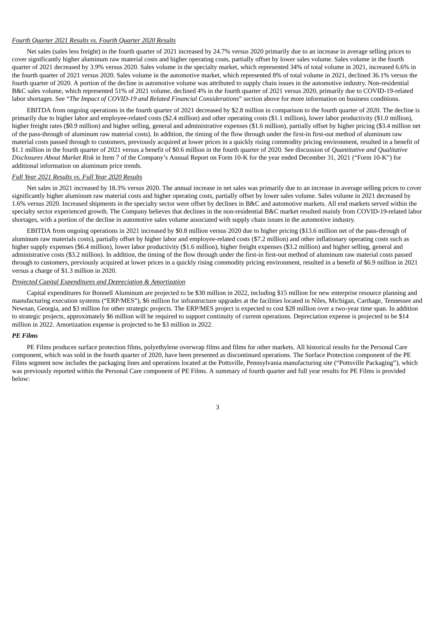#### *Fourth Quarter 2021 Results vs. Fourth Quarter 2020 Results*

Net sales (sales less freight) in the fourth quarter of 2021 increased by 24.7% versus 2020 primarily due to an increase in average selling prices to cover significantly higher aluminum raw material costs and higher operating costs, partially offset by lower sales volume. Sales volume in the fourth quarter of 2021 decreased by 3.9% versus 2020. Sales volume in the specialty market, which represented 34% of total volume in 2021, increased 6.6% in the fourth quarter of 2021 versus 2020. Sales volume in the automotive market, which represented 8% of total volume in 2021, declined 36.1% versus the fourth quarter of 2020. A portion of the decline in automotive volume was attributed to supply chain issues in the automotive industry. Non-residential B&C sales volume, which represented 51% of 2021 volume, declined 4% in the fourth quarter of 2021 versus 2020, primarily due to COVID-19-related labor shortages. See "*The Impact of COVID-19 and Related Financial Considerations*" section above for more information on business conditions.

EBITDA from ongoing operations in the fourth quarter of 2021 decreased by \$2.8 million in comparison to the fourth quarter of 2020. The decline is primarily due to higher labor and employee-related costs (\$2.4 million) and other operating costs (\$1.1 million), lower labor productivity (\$1.0 million), higher freight rates (\$0.9 million) and higher selling, general and administrative expenses (\$1.6 million), partially offset by higher pricing (\$3.4 million net of the pass-through of aluminum raw material costs). In addition, the timing of the flow through under the first-in first-out method of aluminum raw material costs passed through to customers, previously acquired at lower prices in a quickly rising commodity pricing environment, resulted in a benefit of \$1.1 million in the fourth quarter of 2021 versus a benefit of \$0.6 million in the fourth quarter of 2020. See discussion of *Quantitative and Qualitative Disclosures About Market Risk* in Item 7 of the Company's Annual Report on Form 10-K for the year ended December 31, 2021 ("Form 10-K") for additional information on aluminum price trends.

#### *Full Year 2021 Results vs. Full Year 2020 Results*

Net sales in 2021 increased by 18.3% versus 2020. The annual increase in net sales was primarily due to an increase in average selling prices to cover significantly higher aluminum raw material costs and higher operating costs, partially offset by lower sales volume. Sales volume in 2021 decreased by 1.6% versus 2020. Increased shipments in the specialty sector were offset by declines in B&C and automotive markets. All end markets served within the specialty sector experienced growth. The Company believes that declines in the non-residential B&C market resulted mainly from COVID-19-related labor shortages, with a portion of the decline in automotive sales volume associated with supply chain issues in the automotive industry.

EBITDA from ongoing operations in 2021 increased by \$0.8 million versus 2020 due to higher pricing (\$13.6 million net of the pass-through of aluminum raw materials costs), partially offset by higher labor and employee-related costs (\$7.2 million) and other inflationary operating costs such as higher supply expenses (\$6.4 million), lower labor productivity (\$1.6 million), higher freight expenses (\$3.2 million) and higher selling, general and administrative costs (\$3.2 million). In addition, the timing of the flow through under the first-in first-out method of aluminum raw material costs passed through to customers, previously acquired at lower prices in a quickly rising commodity pricing environment, resulted in a benefit of \$6.9 million in 2021 versus a charge of \$1.3 million in 2020.

#### *Projected Capital Expenditures and Depreciation & Amortization*

Capital expenditures for Bonnell Aluminum are projected to be \$30 million in 2022, including \$15 million for new enterprise resource planning and manufacturing execution systems ("ERP/MES"), \$6 million for infrastructure upgrades at the facilities located in Niles, Michigan, Carthage, Tennessee and Newnan, Georgia, and \$3 million for other strategic projects. The ERP/MES project is expected to cost \$28 million over a two-year time span. In addition to strategic projects, approximately \$6 million will be required to support continuity of current operations. Depreciation expense is projected to be \$14 million in 2022. Amortization expense is projected to be \$3 million in 2022.

## *PE Films*

PE Films produces surface protection films, polyethylene overwrap films and films for other markets. All historical results for the Personal Care component, which was sold in the fourth quarter of 2020, have been presented as discontinued operations. The Surface Protection component of the PE Films segment now includes the packaging lines and operations located at the Pottsville, Pennsylvania manufacturing site ("Pottsville Packaging"), which was previously reported within the Personal Care component of PE Films. A summary of fourth quarter and full year results for PE Films is provided below: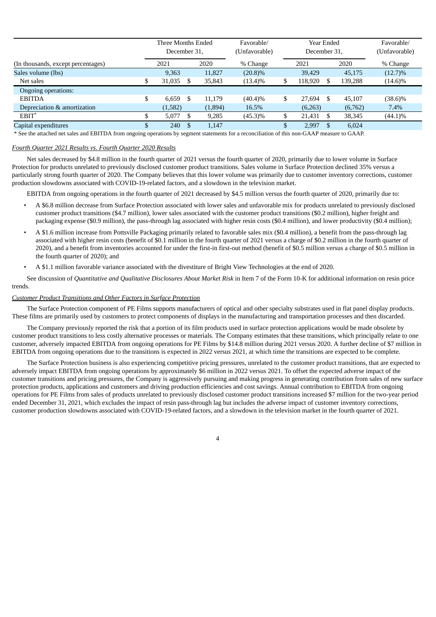|                                    | Three Months Ended<br>December 31, |   |         | Favorable/<br>(Unfavorable) |    | Year Ended<br>December 31, | Favorable/<br>(Unfavorable) |         |            |
|------------------------------------|------------------------------------|---|---------|-----------------------------|----|----------------------------|-----------------------------|---------|------------|
| (In thousands, except percentages) | 2021                               |   | 2020    | % Change                    |    | 2021                       |                             | 2020    | % Change   |
| Sales volume (lbs)                 | 9,363                              |   | 11.827  | $(20.8)\%$                  |    | 39.429                     |                             | 45,175  | $(12.7)\%$ |
| Net sales                          | \$<br>31,035                       |   | 35,843  | $(13.4)\%$                  |    | 118,920                    |                             | 139,288 | $(14.6)\%$ |
| Ongoing operations:                |                                    |   |         |                             |    |                            |                             |         |            |
| <b>EBITDA</b>                      | \$<br>6.659                        | S | 11.179  | $(40.4)\%$                  | S  | 27.694                     | \$.                         | 45.107  | $(38.6)\%$ |
| Depreciation & amortization        | (1,582)                            |   | (1,894) | 16.5%                       |    | (6,263)                    |                             | (6,762) | 7.4%       |
| $EBIT^*$                           | 5,077                              |   | 9,285   | $(45.3)\%$                  | S  | 21,431                     | \$.                         | 38,345  | $(44.1)\%$ |
| Capital expenditures               | \$<br>240                          |   | 1,147   |                             | ۰D | 2,997                      | \$.                         | 6.024   |            |

\* See the attached net sales and EBITDA from ongoing operations by segment statements for a reconciliation of this non-GAAP measure to GAAP.

#### *Fourth Quarter 2021 Results vs. Fourth Quarter 2020 Results*

Net sales decreased by \$4.8 million in the fourth quarter of 2021 versus the fourth quarter of 2020, primarily due to lower volume in Surface Protection for products unrelated to previously disclosed customer product transitions. Sales volume in Surface Protection declined 35% versus a particularly strong fourth quarter of 2020. The Company believes that this lower volume was primarily due to customer inventory corrections, customer production slowdowns associated with COVID-19-related factors, and a slowdown in the television market.

EBITDA from ongoing operations in the fourth quarter of 2021 decreased by \$4.5 million versus the fourth quarter of 2020, primarily due to:

- A \$6.8 million decrease from Surface Protection associated with lower sales and unfavorable mix for products unrelated to previously disclosed customer product transitions (\$4.7 million), lower sales associated with the customer product transitions (\$0.2 million), higher freight and packaging expense (\$0.9 million), the pass-through lag associated with higher resin costs (\$0.4 million), and lower productivity (\$0.4 million);
- A \$1.6 million increase from Pottsville Packaging primarily related to favorable sales mix (\$0.4 million), a benefit from the pass-through lag associated with higher resin costs (benefit of \$0.1 million in the fourth quarter of 2021 versus a charge of \$0.2 million in the fourth quarter of 2020), and a benefit from inventories accounted for under the first-in first-out method (benefit of \$0.5 million versus a charge of \$0.5 million in the fourth quarter of 2020); and
- A \$1.1 million favorable variance associated with the divestiture of Bright View Technologies at the end of 2020.

See discussion of *Quantitative and Qualitative Disclosures About Market Risk* in Item 7 of the Form 10-K for additional information on resin price trends.

#### *Customer Product Transitions and Other Factors in Surface Protection*

The Surface Protection component of PE Films supports manufacturers of optical and other specialty substrates used in flat panel display products. These films are primarily used by customers to protect components of displays in the manufacturing and transportation processes and then discarded.

The Company previously reported the risk that a portion of its film products used in surface protection applications would be made obsolete by customer product transitions to less costly alternative processes or materials. The Company estimates that these transitions, which principally relate to one customer, adversely impacted EBITDA from ongoing operations for PE Films by \$14.8 million during 2021 versus 2020. A further decline of \$7 million in EBITDA from ongoing operations due to the transitions is expected in 2022 versus 2021, at which time the transitions are expected to be complete.

The Surface Protection business is also experiencing competitive pricing pressures, unrelated to the customer product transitions, that are expected to adversely impact EBITDA from ongoing operations by approximately \$6 million in 2022 versus 2021. To offset the expected adverse impact of the customer transitions and pricing pressures, the Company is aggressively pursuing and making progress in generating contribution from sales of new surface protection products, applications and customers and driving production efficiencies and cost savings. Annual contribution to EBITDA from ongoing operations for PE Films from sales of products unrelated to previously disclosed customer product transitions increased \$7 million for the two-year period ended December 31, 2021, which excludes the impact of resin pass-through lag but includes the adverse impact of customer inventory corrections, customer production slowdowns associated with COVID-19-related factors, and a slowdown in the television market in the fourth quarter of 2021.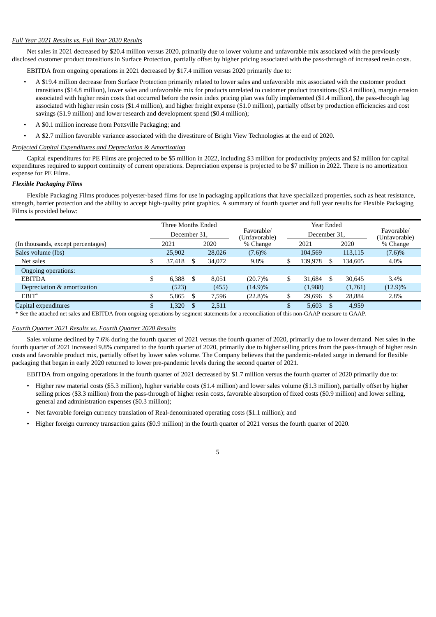#### *Full Year 2021 Results vs. Full Year 2020 Results*

Net sales in 2021 decreased by \$20.4 million versus 2020, primarily due to lower volume and unfavorable mix associated with the previously disclosed customer product transitions in Surface Protection, partially offset by higher pricing associated with the pass-through of increased resin costs.

EBITDA from ongoing operations in 2021 decreased by \$17.4 million versus 2020 primarily due to:

- A \$19.4 million decrease from Surface Protection primarily related to lower sales and unfavorable mix associated with the customer product transitions (\$14.8 million), lower sales and unfavorable mix for products unrelated to customer product transitions (\$3.4 million), margin erosion associated with higher resin costs that occurred before the resin index pricing plan was fully implemented (\$1.4 million), the pass-through lag associated with higher resin costs (\$1.4 million), and higher freight expense (\$1.0 million), partially offset by production efficiencies and cost savings (\$1.9 million) and lower research and development spend (\$0.4 million);
- A \$0.1 million increase from Pottsville Packaging; and
	- A \$2.7 million favorable variance associated with the divestiture of Bright View Technologies at the end of 2020.

#### *Projected Capital Expenditures and Depreciation & Amortization*

Capital expenditures for PE Films are projected to be \$5 million in 2022, including \$3 million for productivity projects and \$2 million for capital expenditures required to support continuity of current operations. Depreciation expense is projected to be \$7 million in 2022. There is no amortization expense for PE Films.

#### *Flexible Packaging Films*

Flexible Packaging Films produces polyester-based films for use in packaging applications that have specialized properties, such as heat resistance, strength, barrier protection and the ability to accept high-quality print graphics. A summary of fourth quarter and full year results for Flexible Packaging Films is provided below:

|                                    | Three Months Ended |    |                             |            |              | <b>Year Ended</b> |                             |          |            |
|------------------------------------|--------------------|----|-----------------------------|------------|--------------|-------------------|-----------------------------|----------|------------|
|                                    | December 31,       |    | Favorable/<br>(Unfavorable) |            | December 31, |                   | Favorable/<br>(Unfavorable) |          |            |
| (In thousands, except percentages) | 2020<br>2021       |    | % Change                    |            | 2021         |                   | 2020                        | % Change |            |
| Sales volume (lbs)                 | 25,902             |    | 28,026                      | (7.6)%     |              | 104.569           |                             | 113,115  | (7.6)%     |
| Net sales                          | 37,418             |    | 34,072                      | 9.8%       | S            | 139,978           |                             | 134,605  | 4.0%       |
| Ongoing operations:                |                    |    |                             |            |              |                   |                             |          |            |
| <b>EBITDA</b>                      | \$<br>6.388        | \$ | 8.051                       | $(20.7)\%$ | \$           | 31,684            | S.                          | 30,645   | 3.4%       |
| Depreciation & amortization        | (523)              |    | (455)                       | $(14.9)\%$ |              | (1,988)           |                             | (1,761)  | $(12.9)\%$ |
| EBIT*                              | 5,865              |    | 7,596                       | $(22.8)\%$ | S            | 29,696            | \$.                         | 28,884   | 2.8%       |
| Capital expenditures               | 1,320              |    | 2,511                       |            | S            | 5,603             | <sup>\$</sup>               | 4,959    |            |

\* See the attached net sales and EBITDA from ongoing operations by segment statements for a reconciliation of this non-GAAP measure to GAAP.

#### *Fourth Quarter 2021 Results vs. Fourth Quarter 2020 Results*

Sales volume declined by 7.6% during the fourth quarter of 2021 versus the fourth quarter of 2020, primarily due to lower demand. Net sales in the fourth quarter of 2021 increased 9.8% compared to the fourth quarter of 2020, primarily due to higher selling prices from the pass-through of higher resin costs and favorable product mix, partially offset by lower sales volume. The Company believes that the pandemic-related surge in demand for flexible packaging that began in early 2020 returned to lower pre-pandemic levels during the second quarter of 2021.

EBITDA from ongoing operations in the fourth quarter of 2021 decreased by \$1.7 million versus the fourth quarter of 2020 primarily due to:

- Higher raw material costs (\$5.3 million), higher variable costs (\$1.4 million) and lower sales volume (\$1.3 million), partially offset by higher selling prices (\$3.3 million) from the pass-through of higher resin costs, favorable absorption of fixed costs (\$0.9 million) and lower selling, general and administration expenses (\$0.3 million);
- Net favorable foreign currency translation of Real-denominated operating costs (\$1.1 million); and
- Higher foreign currency transaction gains (\$0.9 million) in the fourth quarter of 2021 versus the fourth quarter of 2020.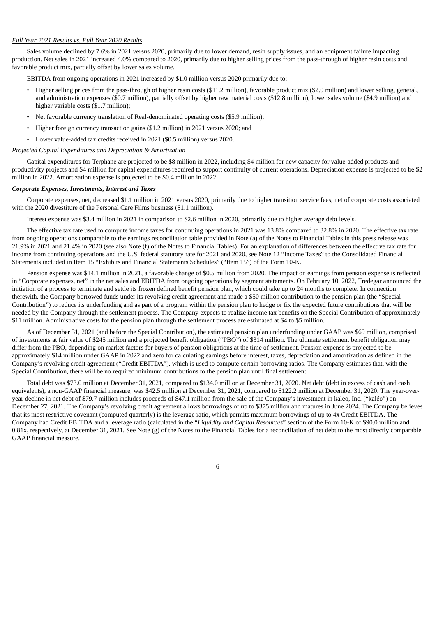#### *Full Year 2021 Results vs. Full Year 2020 Results*

Sales volume declined by 7.6% in 2021 versus 2020, primarily due to lower demand, resin supply issues, and an equipment failure impacting production. Net sales in 2021 increased 4.0% compared to 2020, primarily due to higher selling prices from the pass-through of higher resin costs and favorable product mix, partially offset by lower sales volume.

EBITDA from ongoing operations in 2021 increased by \$1.0 million versus 2020 primarily due to:

- Higher selling prices from the pass-through of higher resin costs (\$11.2 million), favorable product mix (\$2.0 million) and lower selling, general, and administration expenses (\$0.7 million), partially offset by higher raw material costs (\$12.8 million), lower sales volume (\$4.9 million) and higher variable costs (\$1.7 million);
- Net favorable currency translation of Real-denominated operating costs (\$5.9 million);
- Higher foreign currency transaction gains (\$1.2 million) in 2021 versus 2020; and
- Lower value-added tax credits received in 2021 (\$0.5 million) versus 2020.

#### *Projected Capital Expenditures and Depreciation & Amortization*

Capital expenditures for Terphane are projected to be \$8 million in 2022, including \$4 million for new capacity for value-added products and productivity projects and \$4 million for capital expenditures required to support continuity of current operations. Depreciation expense is projected to be \$2 million in 2022. Amortization expense is projected to be \$0.4 million in 2022.

#### *Corporate Expenses, Investments, Interest and Taxes*

Corporate expenses, net, decreased \$1.1 million in 2021 versus 2020, primarily due to higher transition service fees, net of corporate costs associated with the 2020 divestiture of the Personal Care Films business (\$1.1 million).

Interest expense was \$3.4 million in 2021 in comparison to \$2.6 million in 2020, primarily due to higher average debt levels.

The effective tax rate used to compute income taxes for continuing operations in 2021 was 13.8% compared to 32.8% in 2020. The effective tax rate from ongoing operations comparable to the earnings reconciliation table provided in Note (a) of the Notes to Financial Tables in this press release was 21.9% in 2021 and 21.4% in 2020 (see also Note (f) of the Notes to Financial Tables). For an explanation of differences between the effective tax rate for income from continuing operations and the U.S. federal statutory rate for 2021 and 2020, see Note 12 "Income Taxes" to the Consolidated Financial Statements included in Item 15 "Exhibits and Financial Statements Schedules" ("Item 15") of the Form 10-K.

Pension expense was \$14.1 million in 2021, a favorable change of \$0.5 million from 2020. The impact on earnings from pension expense is reflected in "Corporate expenses, net" in the net sales and EBITDA from ongoing operations by segment statements. On February 10, 2022, Tredegar announced the initiation of a process to terminate and settle its frozen defined benefit pension plan, which could take up to 24 months to complete. In connection therewith, the Company borrowed funds under its revolving credit agreement and made a \$50 million contribution to the pension plan (the "Special Contribution") to reduce its underfunding and as part of a program within the pension plan to hedge or fix the expected future contributions that will be needed by the Company through the settlement process. The Company expects to realize income tax benefits on the Special Contribution of approximately \$11 million. Administrative costs for the pension plan through the settlement process are estimated at \$4 to \$5 million.

As of December 31, 2021 (and before the Special Contribution), the estimated pension plan underfunding under GAAP was \$69 million, comprised of investments at fair value of \$245 million and a projected benefit obligation ("PBO") of \$314 million. The ultimate settlement benefit obligation may differ from the PBO, depending on market factors for buyers of pension obligations at the time of settlement. Pension expense is projected to be approximately \$14 million under GAAP in 2022 and zero for calculating earnings before interest, taxes, depreciation and amortization as defined in the Company's revolving credit agreement ("Credit EBITDA"), which is used to compute certain borrowing ratios. The Company estimates that, with the Special Contribution, there will be no required minimum contributions to the pension plan until final settlement.

Total debt was \$73.0 million at December 31, 2021, compared to \$134.0 million at December 31, 2020. Net debt (debt in excess of cash and cash equivalents), a non-GAAP financial measure, was \$42.5 million at December 31, 2021, compared to \$122.2 million at December 31, 2020. The year-overyear decline in net debt of \$79.7 million includes proceeds of \$47.1 million from the sale of the Company's investment in kaleo, Inc. ("kaléo") on December 27, 2021. The Company's revolving credit agreement allows borrowings of up to \$375 million and matures in June 2024. The Company believes that its most restrictive covenant (computed quarterly) is the leverage ratio, which permits maximum borrowings of up to 4x Credit EBITDA. The Company had Credit EBITDA and a leverage ratio (calculated in the "*Liquidity and Capital Resources*" section of the Form 10-K of \$90.0 million and  $0.81x$ , respectively, at December 31, 2021. See Note  $(g)$  of the Notes to the Financial Tables for a reconciliation of net debt to the most directly comparable GAAP financial measure.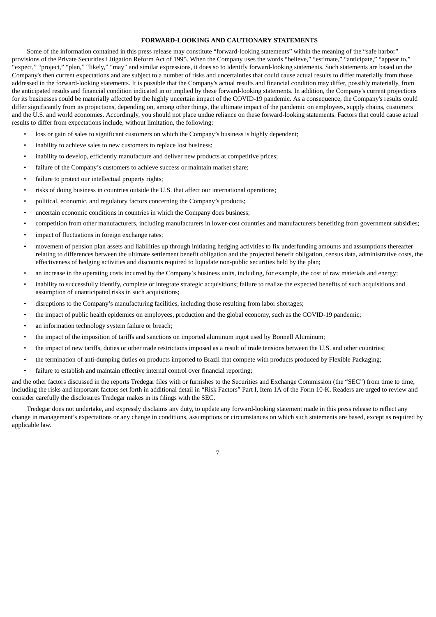#### **FORWARD-LOOKING AND CAUTIONARY STATEMENTS**

Some of the information contained in this press release may constitute "forward-looking statements" within the meaning of the "safe harbor" provisions of the Private Securities Litigation Reform Act of 1995. When the Company uses the words "believe," "estimate," "anticipate," "appear to," "expect," "project," "plan," "likely," "may" and similar expressions, it does so to identify forward-looking statements. Such statements are based on the Company's then current expectations and are subject to a number of risks and uncertainties that could cause actual results to differ materially from those addressed in the forward-looking statements. It is possible that the Company's actual results and financial condition may differ, possibly materially, from the anticipated results and financial condition indicated in or implied by these forward-looking statements. In addition, the Company's current projections for its businesses could be materially affected by the highly uncertain impact of the COVID-19 pandemic. As a consequence, the Company's results could differ significantly from its projections, depending on, among other things, the ultimate impact of the pandemic on employees, supply chains, customers and the U.S. and world economies. Accordingly, you should not place undue reliance on these forward-looking statements. Factors that could cause actual results to differ from expectations include, without limitation, the following:

- loss or gain of sales to significant customers on which the Company's business is highly dependent;
- inability to achieve sales to new customers to replace lost business;
- inability to develop, efficiently manufacture and deliver new products at competitive prices;
- failure of the Company's customers to achieve success or maintain market share;
- failure to protect our intellectual property rights;
- risks of doing business in countries outside the U.S. that affect our international operations;
- political, economic, and regulatory factors concerning the Company's products;
- uncertain economic conditions in countries in which the Company does business;
- competition from other manufacturers, including manufacturers in lower-cost countries and manufacturers benefiting from government subsidies;
- impact of fluctuations in foreign exchange rates;
- movement of pension plan assets and liabilities up through initiating hedging activities to fix underfunding amounts and assumptions thereafter relating to differences between the ultimate settlement benefit obligation and the projected benefit obligation, census data, administrative costs, the effectiveness of hedging activities and discounts required to liquidate non-public securities held by the plan;
- an increase in the operating costs incurred by the Company's business units, including, for example, the cost of raw materials and energy;
- inability to successfully identify, complete or integrate strategic acquisitions; failure to realize the expected benefits of such acquisitions and assumption of unanticipated risks in such acquisitions;
- disruptions to the Company's manufacturing facilities, including those resulting from labor shortages;
- the impact of public health epidemics on employees, production and the global economy, such as the COVID-19 pandemic;
- an information technology system failure or breach:
- the impact of the imposition of tariffs and sanctions on imported aluminum ingot used by Bonnell Aluminum;
- the impact of new tariffs, duties or other trade restrictions imposed as a result of trade tensions between the U.S. and other countries;
- the termination of anti-dumping duties on products imported to Brazil that compete with products produced by Flexible Packaging;
- failure to establish and maintain effective internal control over financial reporting;

and the other factors discussed in the reports Tredegar files with or furnishes to the Securities and Exchange Commission (the "SEC") from time to time, including the risks and important factors set forth in additional detail in "Risk Factors" Part I, Item 1A of the Form 10-K. Readers are urged to review and consider carefully the disclosures Tredegar makes in its filings with the SEC.

Tredegar does not undertake, and expressly disclaims any duty, to update any forward-looking statement made in this press release to reflect any change in management's expectations or any change in conditions, assumptions or circumstances on which such statements are based, except as required by applicable law.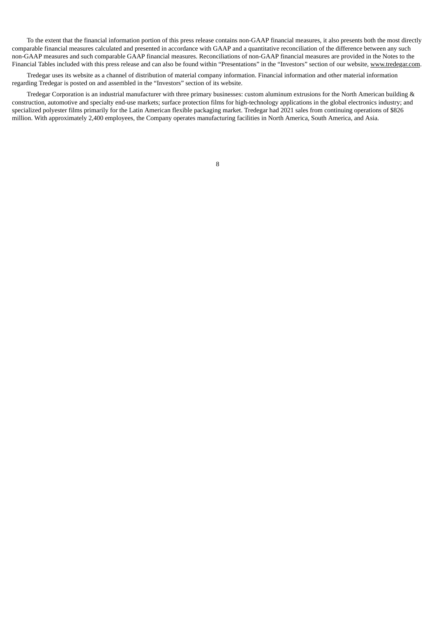To the extent that the financial information portion of this press release contains non-GAAP financial measures, it also presents both the most directly comparable financial measures calculated and presented in accordance with GAAP and a quantitative reconciliation of the difference between any such non-GAAP measures and such comparable GAAP financial measures. Reconciliations of non-GAAP financial measures are provided in the Notes to the Financial Tables included with this press release and can also be found within "Presentations" in the "Investors" section of our website, www.tredegar.com.

Tredegar uses its website as a channel of distribution of material company information. Financial information and other material information regarding Tredegar is posted on and assembled in the "Investors" section of its website.

Tredegar Corporation is an industrial manufacturer with three primary businesses: custom aluminum extrusions for the North American building & construction, automotive and specialty end-use markets; surface protection films for high-technology applications in the global electronics industry; and specialized polyester films primarily for the Latin American flexible packaging market. Tredegar had 2021 sales from continuing operations of \$826 million. With approximately 2,400 employees, the Company operates manufacturing facilities in North America, South America, and Asia.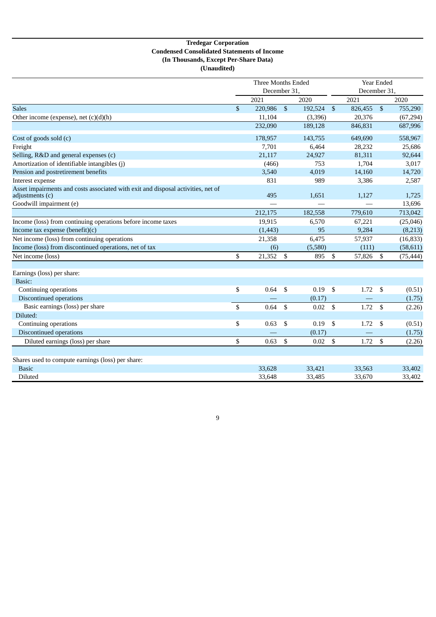## **Tredegar Corporation Condensed Consolidated Statements of Income (In Thousands, Except Per-Share Data) (Unaudited)**

|                                                                                                     |              | Three Months Ended |                |         | Year Ended    |              |                           |           |  |
|-----------------------------------------------------------------------------------------------------|--------------|--------------------|----------------|---------|---------------|--------------|---------------------------|-----------|--|
|                                                                                                     |              | December 31,       |                |         |               | December 31, |                           |           |  |
|                                                                                                     |              | 2021               |                | 2020    |               | 2021         |                           | 2020      |  |
| <b>Sales</b>                                                                                        | $\mathbb{S}$ | 220,986            | $\mathfrak{s}$ | 192,524 | $\sqrt[6]{3}$ | 826,455      | $\boldsymbol{\mathsf{S}}$ | 755,290   |  |
| Other income (expense), net $(c)(d)(h)$                                                             |              | 11,104             |                | (3,396) |               | 20,376       |                           | (67,294)  |  |
|                                                                                                     |              | 232,090            |                | 189,128 |               | 846,831      |                           | 687,996   |  |
| Cost of goods sold (c)                                                                              |              | 178,957            |                | 143,755 |               | 649,690      |                           | 558,967   |  |
| Freight                                                                                             |              | 7,701              |                | 6,464   |               | 28,232       |                           | 25,686    |  |
| Selling, R&D and general expenses (c)                                                               |              | 21,117             |                | 24,927  |               | 81,311       |                           | 92,644    |  |
| Amortization of identifiable intangibles (j)                                                        |              | (466)              |                | 753     |               | 1,704        |                           | 3,017     |  |
| Pension and postretirement benefits                                                                 |              | 3,540              |                | 4,019   |               | 14,160       |                           | 14,720    |  |
| Interest expense                                                                                    |              | 831                |                | 989     |               | 3,386        |                           | 2,587     |  |
| Asset impairments and costs associated with exit and disposal activities, net of<br>adjustments (c) |              | 495                |                | 1,651   |               | 1,127        |                           | 1,725     |  |
| Goodwill impairment (e)                                                                             |              |                    |                |         |               |              |                           | 13,696    |  |
|                                                                                                     |              | 212,175            |                | 182,558 |               | 779,610      |                           | 713,042   |  |
| Income (loss) from continuing operations before income taxes                                        |              | 19,915             |                | 6,570   |               | 67,221       |                           | (25,046)  |  |
| Income tax expense (benefit)(c)                                                                     |              | (1,443)            |                | 95      |               | 9,284        |                           | (8,213)   |  |
| Net income (loss) from continuing operations                                                        |              | 21,358             |                | 6,475   |               | 57,937       |                           | (16, 833) |  |
| Income (loss) from discontinued operations, net of tax                                              |              | (6)                |                | (5,580) |               | (111)        |                           | (58, 611) |  |
| Net income (loss)                                                                                   | \$           | 21,352             | - \$           | 895     | \$            | 57,826       | \$                        | (75, 444) |  |
| Earnings (loss) per share:                                                                          |              |                    |                |         |               |              |                           |           |  |
| Basic:                                                                                              |              |                    |                |         |               |              |                           |           |  |
| Continuing operations                                                                               | \$           | 0.64               | - \$           | 0.19    | \$            | 1.72         | \$                        | (0.51)    |  |
| Discontinued operations                                                                             |              |                    |                | (0.17)  |               |              |                           | (1.75)    |  |
| Basic earnings (loss) per share                                                                     | \$           | 0.64               | -S             | 0.02    | \$            | 1.72         | \$                        | (2.26)    |  |
| Diluted:                                                                                            |              |                    |                |         |               |              |                           |           |  |
| Continuing operations                                                                               | \$           | 0.63               | \$             | 0.19    | \$            | 1.72         | \$                        | (0.51)    |  |
| Discontinued operations                                                                             |              |                    |                | (0.17)  |               |              |                           | (1.75)    |  |
| Diluted earnings (loss) per share                                                                   | \$           | 0.63               | $\mathbb{S}$   | 0.02    | \$            | 1.72         | \$                        | (2.26)    |  |
|                                                                                                     |              |                    |                |         |               |              |                           |           |  |
| Shares used to compute earnings (loss) per share:                                                   |              |                    |                |         |               |              |                           |           |  |
| <b>Basic</b>                                                                                        |              | 33,628             |                | 33,421  |               | 33,563       |                           | 33,402    |  |
| Diluted                                                                                             |              | 33,648             |                | 33,485  |               | 33,670       |                           | 33,402    |  |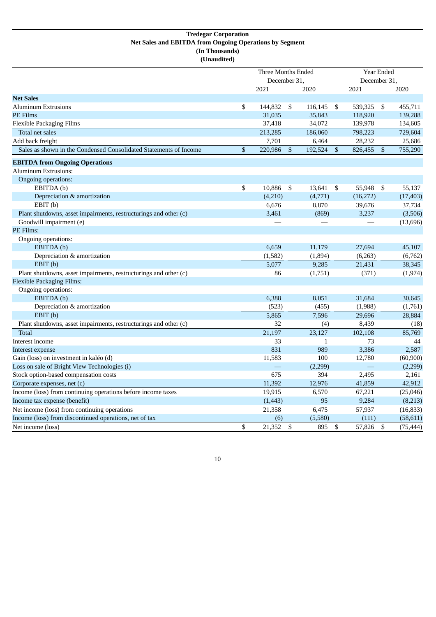## **Tredegar Corporation Net Sales and EBITDA from Ongoing Operations by Segment (In Thousands) (Unaudited)**

|                                                                   | <b>Three Months Ended</b><br>December 31, |          |    |              |                         | Year Ended<br>December 31, |    |           |
|-------------------------------------------------------------------|-------------------------------------------|----------|----|--------------|-------------------------|----------------------------|----|-----------|
|                                                                   |                                           | 2021     |    | 2020         |                         | 2021                       |    | 2020      |
| <b>Net Sales</b>                                                  |                                           |          |    |              |                         |                            |    |           |
| <b>Aluminum Extrusions</b>                                        | \$                                        | 144,832  | \$ | 116,145      | \$                      | 539,325                    | \$ | 455,711   |
| PE Films                                                          |                                           | 31,035   |    | 35,843       |                         | 118,920                    |    | 139,288   |
| <b>Flexible Packaging Films</b>                                   |                                           | 37,418   |    | 34,072       |                         | 139,978                    |    | 134,605   |
| Total net sales                                                   |                                           | 213,285  |    | 186,060      |                         | 798,223                    |    | 729,604   |
| Add back freight                                                  |                                           | 7,701    |    | 6,464        |                         | 28,232                     |    | 25,686    |
| Sales as shown in the Condensed Consolidated Statements of Income | \$                                        | 220,986  | \$ | 192,524      | $\sqrt[6]{\frac{1}{2}}$ | 826,455                    | \$ | 755,290   |
| <b>EBITDA from Ongoing Operations</b>                             |                                           |          |    |              |                         |                            |    |           |
| <b>Aluminum Extrusions:</b>                                       |                                           |          |    |              |                         |                            |    |           |
| Ongoing operations:                                               |                                           |          |    |              |                         |                            |    |           |
| EBITDA (b)                                                        | \$                                        | 10,886   | \$ | 13,641       | \$                      | 55,948                     | \$ | 55,137    |
| Depreciation & amortization                                       |                                           | (4,210)  |    | (4,771)      |                         | (16, 272)                  |    | (17, 403) |
| EBIT(b)                                                           |                                           | 6,676    |    | 8,870        |                         | 39,676                     |    | 37,734    |
| Plant shutdowns, asset impairments, restructurings and other (c)  |                                           | 3,461    |    | (869)        |                         | 3,237                      |    | (3,506)   |
| Goodwill impairment (e)                                           |                                           |          |    |              |                         |                            |    | (13, 696) |
| PE Films:                                                         |                                           |          |    |              |                         |                            |    |           |
| Ongoing operations:                                               |                                           |          |    |              |                         |                            |    |           |
| EBITDA (b)                                                        |                                           | 6,659    |    | 11,179       |                         | 27,694                     |    | 45,107    |
| Depreciation & amortization                                       |                                           | (1, 582) |    | (1,894)      |                         | (6,263)                    |    | (6,762)   |
| EBIT(b)                                                           |                                           | 5,077    |    | 9,285        |                         | 21,431                     |    | 38,345    |
| Plant shutdowns, asset impairments, restructurings and other (c)  |                                           | 86       |    | (1,751)      |                         | (371)                      |    | (1, 974)  |
| <b>Flexible Packaging Films:</b>                                  |                                           |          |    |              |                         |                            |    |           |
| Ongoing operations:                                               |                                           |          |    |              |                         |                            |    |           |
| EBITDA (b)                                                        |                                           | 6,388    |    | 8,051        |                         | 31,684                     |    | 30,645    |
| Depreciation & amortization                                       |                                           | (523)    |    | (455)        |                         | (1,988)                    |    | (1,761)   |
| EBIT(b)                                                           |                                           | 5,865    |    | 7,596        |                         | 29,696                     |    | 28,884    |
| Plant shutdowns, asset impairments, restructurings and other (c)  |                                           | 32       |    | (4)          |                         | 8,439                      |    | (18)      |
| <b>Total</b>                                                      |                                           | 21,197   |    | 23,127       |                         | 102,108                    |    | 85,769    |
| Interest income                                                   |                                           | 33       |    | $\mathbf{1}$ |                         | 73                         |    | 44        |
| Interest expense                                                  |                                           | 831      |    | 989          |                         | 3,386                      |    | 2,587     |
| Gain (loss) on investment in kaléo (d)                            |                                           | 11,583   |    | 100          |                         | 12,780                     |    | (60, 900) |
| Loss on sale of Bright View Technologies (i)                      |                                           |          |    | (2,299)      |                         |                            |    | (2,299)   |
| Stock option-based compensation costs                             |                                           | 675      |    | 394          |                         | 2,495                      |    | 2,161     |
| Corporate expenses, net (c)                                       |                                           | 11,392   |    | 12,976       |                         | 41,859                     |    | 42,912    |
| Income (loss) from continuing operations before income taxes      |                                           | 19,915   |    | 6,570        |                         | 67,221                     |    | (25, 046) |
| Income tax expense (benefit)                                      |                                           | (1, 443) |    | 95           |                         | 9,284                      |    | (8,213)   |
| Net income (loss) from continuing operations                      |                                           | 21,358   |    | 6,475        |                         | 57,937                     |    | (16, 833) |
| Income (loss) from discontinued operations, net of tax            |                                           | (6)      |    | (5,580)      |                         | (111)                      |    | (58, 611) |
| Net income (loss)                                                 | \$                                        | 21,352   | \$ | 895          | $\mathfrak{S}$          | 57,826                     | \$ | (75, 444) |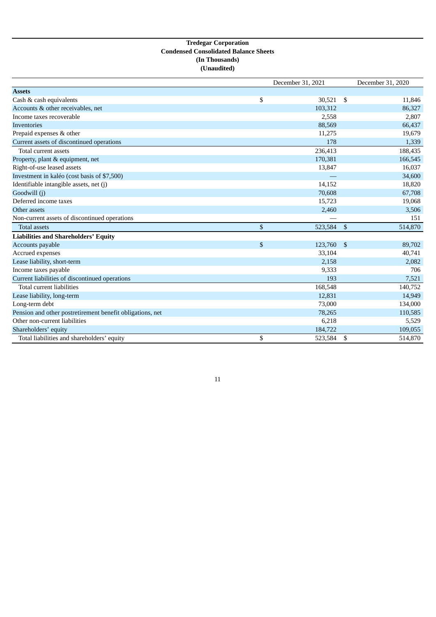## **Tredegar Corporation Condensed Consolidated Balance Sheets (In Thousands) (Unaudited)**

|                                                           |              | December 31, 2021 |      | December 31, 2020 |
|-----------------------------------------------------------|--------------|-------------------|------|-------------------|
| <b>Assets</b>                                             |              |                   |      |                   |
| Cash & cash equivalents                                   | \$           | $30,521$ \$       |      | 11,846            |
| Accounts & other receivables, net                         |              | 103,312           |      | 86,327            |
| Income taxes recoverable                                  |              | 2,558             |      | 2,807             |
| <b>Inventories</b>                                        |              | 88,569            |      | 66,437            |
| Prepaid expenses & other                                  |              | 11,275            |      | 19,679            |
| Current assets of discontinued operations                 |              | 178               |      | 1,339             |
| Total current assets                                      |              | 236,413           |      | 188,435           |
| Property, plant & equipment, net                          |              | 170,381           |      | 166,545           |
| Right-of-use leased assets                                |              | 13,847            |      | 16,037            |
| Investment in kaléo (cost basis of \$7,500)               |              |                   |      | 34,600            |
| Identifiable intangible assets, net (j)                   |              | 14,152            |      | 18,820            |
| Goodwill (j)                                              |              | 70,608            |      | 67,708            |
| Deferred income taxes                                     |              | 15,723            |      | 19,068            |
| Other assets                                              |              | 2,460             |      | 3,506             |
| Non-current assets of discontinued operations             |              |                   |      | 151               |
| <b>Total assets</b>                                       | $\mathbb{S}$ | 523,584           | - \$ | 514,870           |
| <b>Liabilities and Shareholders' Equity</b>               |              |                   |      |                   |
| Accounts payable                                          | $\mathbb{S}$ | 123,760           | - \$ | 89,702            |
| Accrued expenses                                          |              | 33,104            |      | 40,741            |
| Lease liability, short-term                               |              | 2,158             |      | 2,082             |
| Income taxes payable                                      |              | 9,333             |      | 706               |
| Current liabilities of discontinued operations            |              | 193               |      | 7,521             |
| <b>Total current liabilities</b>                          |              | 168,548           |      | 140,752           |
| Lease liability, long-term                                |              | 12,831            |      | 14,949            |
| Long-term debt                                            |              | 73,000            |      | 134,000           |
| Pension and other postretirement benefit obligations, net |              | 78,265            |      | 110,585           |
| Other non-current liabilities                             |              | 6,218             |      | 5,529             |
| Shareholders' equity                                      |              | 184,722           |      | 109,055           |
| Total liabilities and shareholders' equity                | \$           | 523,584           | \$   | 514,870           |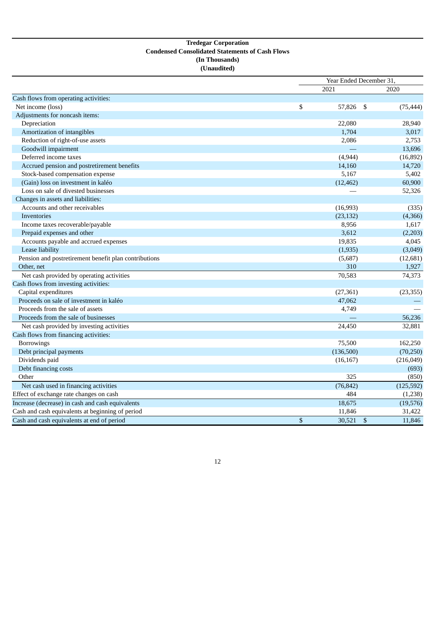## **Tredegar Corporation Condensed Consolidated Statements of Cash Flows (In Thousands) (Unaudited)**

| 2021<br>2020<br>Cash flows from operating activities:<br>Net income (loss)<br>\$<br>57,826<br>-\$<br>(75, 444)<br>Adjustments for noncash items:<br>Depreciation<br>22,080<br>28,940<br>Amortization of intangibles<br>1,704<br>3,017<br>Reduction of right-of-use assets<br>2,086<br>2,753<br>Goodwill impairment<br>13,696<br>Deferred income taxes<br>(4,944)<br>(16, 892)<br>14,720<br>Accrued pension and postretirement benefits<br>14,160<br>5,167<br>Stock-based compensation expense<br>5,402<br>(Gain) loss on investment in kaléo<br>60,900<br>(12, 462)<br>Loss on sale of divested businesses<br>52,326<br>Changes in assets and liabilities:<br>Accounts and other receivables<br>(16,993)<br>(335)<br>(23, 132)<br>Inventories<br>(4,366)<br>Income taxes recoverable/payable<br>8,956<br>1,617<br>Prepaid expenses and other<br>3,612<br>(2,203)<br>Accounts payable and accrued expenses<br>19,835<br>4,045<br>Lease liability<br>(3,049)<br>(1,935)<br>Pension and postretirement benefit plan contributions<br>(5,687)<br>(12, 681)<br>310<br>1,927<br>Other, net<br>Net cash provided by operating activities<br>70,583<br>74,373<br>Cash flows from investing activities:<br>Capital expenditures<br>(27, 361)<br>(23, 355)<br>Proceeds on sale of investment in kaléo<br>47,062<br>Proceeds from the sale of assets<br>4,749<br>Proceeds from the sale of businesses<br>56,236<br>Net cash provided by investing activities<br>24,450<br>32,881<br>Cash flows from financing activities:<br>Borrowings<br>75,500<br>162,250<br>(136,500)<br>(70, 250)<br>Debt principal payments<br>Dividends paid<br>(216, 049)<br>(16, 167)<br>Debt financing costs<br>(693)<br>Other<br>325<br>(850)<br>Net cash used in financing activities<br>(76, 842)<br>(125, 592)<br>Effect of exchange rate changes on cash<br>484<br>(1,238)<br>Increase (decrease) in cash and cash equivalents<br>18,675<br>(19,576)<br>Cash and cash equivalents at beginning of period<br>11,846<br>31,422 |                                            | Year Ended December 31, |    |        |  |  |  |
|--------------------------------------------------------------------------------------------------------------------------------------------------------------------------------------------------------------------------------------------------------------------------------------------------------------------------------------------------------------------------------------------------------------------------------------------------------------------------------------------------------------------------------------------------------------------------------------------------------------------------------------------------------------------------------------------------------------------------------------------------------------------------------------------------------------------------------------------------------------------------------------------------------------------------------------------------------------------------------------------------------------------------------------------------------------------------------------------------------------------------------------------------------------------------------------------------------------------------------------------------------------------------------------------------------------------------------------------------------------------------------------------------------------------------------------------------------------------------------------------------------------------------------------------------------------------------------------------------------------------------------------------------------------------------------------------------------------------------------------------------------------------------------------------------------------------------------------------------------------------------------------------------------------------------------------------------------------------------------------------------|--------------------------------------------|-------------------------|----|--------|--|--|--|
|                                                                                                                                                                                                                                                                                                                                                                                                                                                                                                                                                                                                                                                                                                                                                                                                                                                                                                                                                                                                                                                                                                                                                                                                                                                                                                                                                                                                                                                                                                                                                                                                                                                                                                                                                                                                                                                                                                                                                                                                  |                                            |                         |    |        |  |  |  |
|                                                                                                                                                                                                                                                                                                                                                                                                                                                                                                                                                                                                                                                                                                                                                                                                                                                                                                                                                                                                                                                                                                                                                                                                                                                                                                                                                                                                                                                                                                                                                                                                                                                                                                                                                                                                                                                                                                                                                                                                  |                                            |                         |    |        |  |  |  |
|                                                                                                                                                                                                                                                                                                                                                                                                                                                                                                                                                                                                                                                                                                                                                                                                                                                                                                                                                                                                                                                                                                                                                                                                                                                                                                                                                                                                                                                                                                                                                                                                                                                                                                                                                                                                                                                                                                                                                                                                  |                                            |                         |    |        |  |  |  |
|                                                                                                                                                                                                                                                                                                                                                                                                                                                                                                                                                                                                                                                                                                                                                                                                                                                                                                                                                                                                                                                                                                                                                                                                                                                                                                                                                                                                                                                                                                                                                                                                                                                                                                                                                                                                                                                                                                                                                                                                  |                                            |                         |    |        |  |  |  |
|                                                                                                                                                                                                                                                                                                                                                                                                                                                                                                                                                                                                                                                                                                                                                                                                                                                                                                                                                                                                                                                                                                                                                                                                                                                                                                                                                                                                                                                                                                                                                                                                                                                                                                                                                                                                                                                                                                                                                                                                  |                                            |                         |    |        |  |  |  |
|                                                                                                                                                                                                                                                                                                                                                                                                                                                                                                                                                                                                                                                                                                                                                                                                                                                                                                                                                                                                                                                                                                                                                                                                                                                                                                                                                                                                                                                                                                                                                                                                                                                                                                                                                                                                                                                                                                                                                                                                  |                                            |                         |    |        |  |  |  |
|                                                                                                                                                                                                                                                                                                                                                                                                                                                                                                                                                                                                                                                                                                                                                                                                                                                                                                                                                                                                                                                                                                                                                                                                                                                                                                                                                                                                                                                                                                                                                                                                                                                                                                                                                                                                                                                                                                                                                                                                  |                                            |                         |    |        |  |  |  |
|                                                                                                                                                                                                                                                                                                                                                                                                                                                                                                                                                                                                                                                                                                                                                                                                                                                                                                                                                                                                                                                                                                                                                                                                                                                                                                                                                                                                                                                                                                                                                                                                                                                                                                                                                                                                                                                                                                                                                                                                  |                                            |                         |    |        |  |  |  |
|                                                                                                                                                                                                                                                                                                                                                                                                                                                                                                                                                                                                                                                                                                                                                                                                                                                                                                                                                                                                                                                                                                                                                                                                                                                                                                                                                                                                                                                                                                                                                                                                                                                                                                                                                                                                                                                                                                                                                                                                  |                                            |                         |    |        |  |  |  |
|                                                                                                                                                                                                                                                                                                                                                                                                                                                                                                                                                                                                                                                                                                                                                                                                                                                                                                                                                                                                                                                                                                                                                                                                                                                                                                                                                                                                                                                                                                                                                                                                                                                                                                                                                                                                                                                                                                                                                                                                  |                                            |                         |    |        |  |  |  |
|                                                                                                                                                                                                                                                                                                                                                                                                                                                                                                                                                                                                                                                                                                                                                                                                                                                                                                                                                                                                                                                                                                                                                                                                                                                                                                                                                                                                                                                                                                                                                                                                                                                                                                                                                                                                                                                                                                                                                                                                  |                                            |                         |    |        |  |  |  |
|                                                                                                                                                                                                                                                                                                                                                                                                                                                                                                                                                                                                                                                                                                                                                                                                                                                                                                                                                                                                                                                                                                                                                                                                                                                                                                                                                                                                                                                                                                                                                                                                                                                                                                                                                                                                                                                                                                                                                                                                  |                                            |                         |    |        |  |  |  |
|                                                                                                                                                                                                                                                                                                                                                                                                                                                                                                                                                                                                                                                                                                                                                                                                                                                                                                                                                                                                                                                                                                                                                                                                                                                                                                                                                                                                                                                                                                                                                                                                                                                                                                                                                                                                                                                                                                                                                                                                  |                                            |                         |    |        |  |  |  |
|                                                                                                                                                                                                                                                                                                                                                                                                                                                                                                                                                                                                                                                                                                                                                                                                                                                                                                                                                                                                                                                                                                                                                                                                                                                                                                                                                                                                                                                                                                                                                                                                                                                                                                                                                                                                                                                                                                                                                                                                  |                                            |                         |    |        |  |  |  |
|                                                                                                                                                                                                                                                                                                                                                                                                                                                                                                                                                                                                                                                                                                                                                                                                                                                                                                                                                                                                                                                                                                                                                                                                                                                                                                                                                                                                                                                                                                                                                                                                                                                                                                                                                                                                                                                                                                                                                                                                  |                                            |                         |    |        |  |  |  |
|                                                                                                                                                                                                                                                                                                                                                                                                                                                                                                                                                                                                                                                                                                                                                                                                                                                                                                                                                                                                                                                                                                                                                                                                                                                                                                                                                                                                                                                                                                                                                                                                                                                                                                                                                                                                                                                                                                                                                                                                  |                                            |                         |    |        |  |  |  |
|                                                                                                                                                                                                                                                                                                                                                                                                                                                                                                                                                                                                                                                                                                                                                                                                                                                                                                                                                                                                                                                                                                                                                                                                                                                                                                                                                                                                                                                                                                                                                                                                                                                                                                                                                                                                                                                                                                                                                                                                  |                                            |                         |    |        |  |  |  |
|                                                                                                                                                                                                                                                                                                                                                                                                                                                                                                                                                                                                                                                                                                                                                                                                                                                                                                                                                                                                                                                                                                                                                                                                                                                                                                                                                                                                                                                                                                                                                                                                                                                                                                                                                                                                                                                                                                                                                                                                  |                                            |                         |    |        |  |  |  |
|                                                                                                                                                                                                                                                                                                                                                                                                                                                                                                                                                                                                                                                                                                                                                                                                                                                                                                                                                                                                                                                                                                                                                                                                                                                                                                                                                                                                                                                                                                                                                                                                                                                                                                                                                                                                                                                                                                                                                                                                  |                                            |                         |    |        |  |  |  |
|                                                                                                                                                                                                                                                                                                                                                                                                                                                                                                                                                                                                                                                                                                                                                                                                                                                                                                                                                                                                                                                                                                                                                                                                                                                                                                                                                                                                                                                                                                                                                                                                                                                                                                                                                                                                                                                                                                                                                                                                  |                                            |                         |    |        |  |  |  |
|                                                                                                                                                                                                                                                                                                                                                                                                                                                                                                                                                                                                                                                                                                                                                                                                                                                                                                                                                                                                                                                                                                                                                                                                                                                                                                                                                                                                                                                                                                                                                                                                                                                                                                                                                                                                                                                                                                                                                                                                  |                                            |                         |    |        |  |  |  |
|                                                                                                                                                                                                                                                                                                                                                                                                                                                                                                                                                                                                                                                                                                                                                                                                                                                                                                                                                                                                                                                                                                                                                                                                                                                                                                                                                                                                                                                                                                                                                                                                                                                                                                                                                                                                                                                                                                                                                                                                  |                                            |                         |    |        |  |  |  |
|                                                                                                                                                                                                                                                                                                                                                                                                                                                                                                                                                                                                                                                                                                                                                                                                                                                                                                                                                                                                                                                                                                                                                                                                                                                                                                                                                                                                                                                                                                                                                                                                                                                                                                                                                                                                                                                                                                                                                                                                  |                                            |                         |    |        |  |  |  |
|                                                                                                                                                                                                                                                                                                                                                                                                                                                                                                                                                                                                                                                                                                                                                                                                                                                                                                                                                                                                                                                                                                                                                                                                                                                                                                                                                                                                                                                                                                                                                                                                                                                                                                                                                                                                                                                                                                                                                                                                  |                                            |                         |    |        |  |  |  |
|                                                                                                                                                                                                                                                                                                                                                                                                                                                                                                                                                                                                                                                                                                                                                                                                                                                                                                                                                                                                                                                                                                                                                                                                                                                                                                                                                                                                                                                                                                                                                                                                                                                                                                                                                                                                                                                                                                                                                                                                  |                                            |                         |    |        |  |  |  |
|                                                                                                                                                                                                                                                                                                                                                                                                                                                                                                                                                                                                                                                                                                                                                                                                                                                                                                                                                                                                                                                                                                                                                                                                                                                                                                                                                                                                                                                                                                                                                                                                                                                                                                                                                                                                                                                                                                                                                                                                  |                                            |                         |    |        |  |  |  |
|                                                                                                                                                                                                                                                                                                                                                                                                                                                                                                                                                                                                                                                                                                                                                                                                                                                                                                                                                                                                                                                                                                                                                                                                                                                                                                                                                                                                                                                                                                                                                                                                                                                                                                                                                                                                                                                                                                                                                                                                  |                                            |                         |    |        |  |  |  |
|                                                                                                                                                                                                                                                                                                                                                                                                                                                                                                                                                                                                                                                                                                                                                                                                                                                                                                                                                                                                                                                                                                                                                                                                                                                                                                                                                                                                                                                                                                                                                                                                                                                                                                                                                                                                                                                                                                                                                                                                  |                                            |                         |    |        |  |  |  |
|                                                                                                                                                                                                                                                                                                                                                                                                                                                                                                                                                                                                                                                                                                                                                                                                                                                                                                                                                                                                                                                                                                                                                                                                                                                                                                                                                                                                                                                                                                                                                                                                                                                                                                                                                                                                                                                                                                                                                                                                  |                                            |                         |    |        |  |  |  |
|                                                                                                                                                                                                                                                                                                                                                                                                                                                                                                                                                                                                                                                                                                                                                                                                                                                                                                                                                                                                                                                                                                                                                                                                                                                                                                                                                                                                                                                                                                                                                                                                                                                                                                                                                                                                                                                                                                                                                                                                  |                                            |                         |    |        |  |  |  |
|                                                                                                                                                                                                                                                                                                                                                                                                                                                                                                                                                                                                                                                                                                                                                                                                                                                                                                                                                                                                                                                                                                                                                                                                                                                                                                                                                                                                                                                                                                                                                                                                                                                                                                                                                                                                                                                                                                                                                                                                  |                                            |                         |    |        |  |  |  |
|                                                                                                                                                                                                                                                                                                                                                                                                                                                                                                                                                                                                                                                                                                                                                                                                                                                                                                                                                                                                                                                                                                                                                                                                                                                                                                                                                                                                                                                                                                                                                                                                                                                                                                                                                                                                                                                                                                                                                                                                  |                                            |                         |    |        |  |  |  |
|                                                                                                                                                                                                                                                                                                                                                                                                                                                                                                                                                                                                                                                                                                                                                                                                                                                                                                                                                                                                                                                                                                                                                                                                                                                                                                                                                                                                                                                                                                                                                                                                                                                                                                                                                                                                                                                                                                                                                                                                  |                                            |                         |    |        |  |  |  |
|                                                                                                                                                                                                                                                                                                                                                                                                                                                                                                                                                                                                                                                                                                                                                                                                                                                                                                                                                                                                                                                                                                                                                                                                                                                                                                                                                                                                                                                                                                                                                                                                                                                                                                                                                                                                                                                                                                                                                                                                  |                                            |                         |    |        |  |  |  |
|                                                                                                                                                                                                                                                                                                                                                                                                                                                                                                                                                                                                                                                                                                                                                                                                                                                                                                                                                                                                                                                                                                                                                                                                                                                                                                                                                                                                                                                                                                                                                                                                                                                                                                                                                                                                                                                                                                                                                                                                  |                                            |                         |    |        |  |  |  |
|                                                                                                                                                                                                                                                                                                                                                                                                                                                                                                                                                                                                                                                                                                                                                                                                                                                                                                                                                                                                                                                                                                                                                                                                                                                                                                                                                                                                                                                                                                                                                                                                                                                                                                                                                                                                                                                                                                                                                                                                  |                                            |                         |    |        |  |  |  |
|                                                                                                                                                                                                                                                                                                                                                                                                                                                                                                                                                                                                                                                                                                                                                                                                                                                                                                                                                                                                                                                                                                                                                                                                                                                                                                                                                                                                                                                                                                                                                                                                                                                                                                                                                                                                                                                                                                                                                                                                  |                                            |                         |    |        |  |  |  |
|                                                                                                                                                                                                                                                                                                                                                                                                                                                                                                                                                                                                                                                                                                                                                                                                                                                                                                                                                                                                                                                                                                                                                                                                                                                                                                                                                                                                                                                                                                                                                                                                                                                                                                                                                                                                                                                                                                                                                                                                  |                                            |                         |    |        |  |  |  |
|                                                                                                                                                                                                                                                                                                                                                                                                                                                                                                                                                                                                                                                                                                                                                                                                                                                                                                                                                                                                                                                                                                                                                                                                                                                                                                                                                                                                                                                                                                                                                                                                                                                                                                                                                                                                                                                                                                                                                                                                  |                                            |                         |    |        |  |  |  |
|                                                                                                                                                                                                                                                                                                                                                                                                                                                                                                                                                                                                                                                                                                                                                                                                                                                                                                                                                                                                                                                                                                                                                                                                                                                                                                                                                                                                                                                                                                                                                                                                                                                                                                                                                                                                                                                                                                                                                                                                  | Cash and cash equivalents at end of period | \$<br>30,521            | \$ | 11,846 |  |  |  |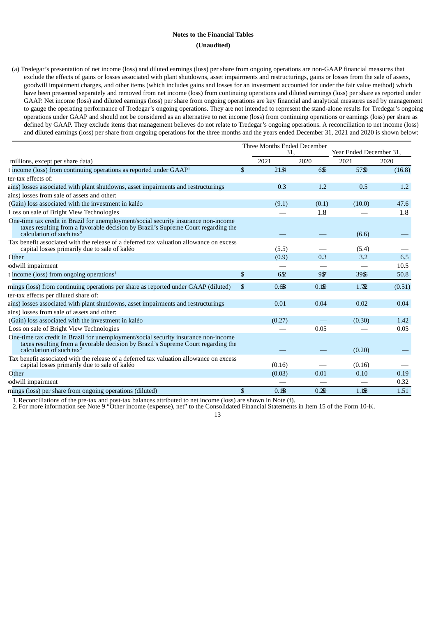## **Notes to the Financial Tables (Unaudited)**

(a) Tredegar's presentation of net income (loss) and diluted earnings (loss) per share from ongoing operations are non-GAAP financial measures that exclude the effects of gains or losses associated with plant shutdowns, asset impairments and restructurings, gains or losses from the sale of assets, goodwill impairment charges, and other items (which includes gains and losses for an investment accounted for under the fair value method) which have been presented separately and removed from net income (loss) from continuing operations and diluted earnings (loss) per share as reported under GAAP. Net income (loss) and diluted earnings (loss) per share from ongoing operations are key financial and analytical measures used by management to gauge the operating performance of Tredegar's ongoing operations. They are not intended to represent the stand-alone results for Tredegar's ongoing operations under GAAP and should not be considered as an alternative to net income (loss) from continuing operations or earnings (loss) per share as defined by GAAP. They exclude items that management believes do not relate to Tredegar's ongoing operations. A reconciliation to net income (loss) and diluted earnings (loss) per share from ongoing operations for the three months and the years ended December 31, 2021 and 2020 is shown below:

|                                                                                                                                                                                                                |              | Three Months Ended December<br>31. |       | Year Ended December 31, |        |  |
|----------------------------------------------------------------------------------------------------------------------------------------------------------------------------------------------------------------|--------------|------------------------------------|-------|-------------------------|--------|--|
| millions, except per share data)                                                                                                                                                                               |              | 2021                               | 2020  | 2021                    | 2020   |  |
| t income (loss) from continuing operations as reported under GAAP <sup>1</sup>                                                                                                                                 | $\mathbb{S}$ | $21\,$                             | 6\$   | 57\$9                   | (16.8) |  |
| ter-tax effects of:                                                                                                                                                                                            |              |                                    |       |                         |        |  |
| ains) losses associated with plant shutdowns, asset impairments and restructurings                                                                                                                             |              | 0.3                                | 1.2   | 0.5                     | 1.2    |  |
| ains) losses from sale of assets and other:                                                                                                                                                                    |              |                                    |       |                         |        |  |
| (Gain) loss associated with the investment in kaléo                                                                                                                                                            |              | (9.1)                              | (0.1) | (10.0)                  | 47.6   |  |
| Loss on sale of Bright View Technologies                                                                                                                                                                       |              |                                    | 1.8   |                         | 1.8    |  |
| One-time tax credit in Brazil for unemployment/social security insurance non-income<br>taxes resulting from a favorable decision by Brazil's Supreme Court regarding the<br>calculation of such $\text{tax}^2$ |              |                                    |       | (6.6)                   |        |  |
| Tax benefit associated with the release of a deferred tax valuation allowance on excess<br>capital losses primarily due to sale of kaléo                                                                       |              | (5.5)                              |       | (5.4)                   |        |  |
| Other                                                                                                                                                                                                          |              | (0.9)                              | 0.3   | 3.2                     | 6.5    |  |
| odwill impairment                                                                                                                                                                                              |              |                                    |       |                         | 10.5   |  |
| t income (loss) from ongoing operations <sup>1</sup>                                                                                                                                                           | $\mathbb{S}$ | 652                                | 9.57  | 39\$                    | 50.8   |  |
| mings (loss) from continuing operations per share as reported under GAAP (diluted)                                                                                                                             | $\mathbb{S}$ | 0.6B                               | 0.19  | 1.72                    | (0.51) |  |
| ter-tax effects per diluted share of:                                                                                                                                                                          |              |                                    |       |                         |        |  |
| ains) losses associated with plant shutdowns, asset impairments and restructurings                                                                                                                             |              | 0.01                               | 0.04  | 0.02                    | 0.04   |  |
| ains) losses from sale of assets and other:                                                                                                                                                                    |              |                                    |       |                         |        |  |
| (Gain) loss associated with the investment in kaléo                                                                                                                                                            |              | (0.27)                             |       | (0.30)                  | 1.42   |  |
| Loss on sale of Bright View Technologies                                                                                                                                                                       |              |                                    | 0.05  |                         | 0.05   |  |
| One-time tax credit in Brazil for unemployment/social security insurance non-income<br>taxes resulting from a favorable decision by Brazil's Supreme Court regarding the<br>calculation of such $tax^2$        |              |                                    |       | (0.20)                  |        |  |
| Tax benefit associated with the release of a deferred tax valuation allowance on excess<br>capital losses primarily due to sale of kaléo                                                                       |              | (0.16)                             |       | (0.16)                  |        |  |
| Other                                                                                                                                                                                                          |              | (0.03)                             | 0.01  | 0.10                    | 0.19   |  |
| odwill impairment                                                                                                                                                                                              |              |                                    |       |                         | 0.32   |  |
| mings (loss) per share from ongoing operations (diluted)                                                                                                                                                       | \$           | 0.1B                               | 0.29  | 1.18                    | 1.51   |  |

1.Reconciliations of the pre-tax and post-tax balances attributed to net income (loss) are shown in Note (f).

2. For more information see Note 9 "Other income (expense), net" to the Consolidated Financial Statements in Item 15 of the Form 10-K.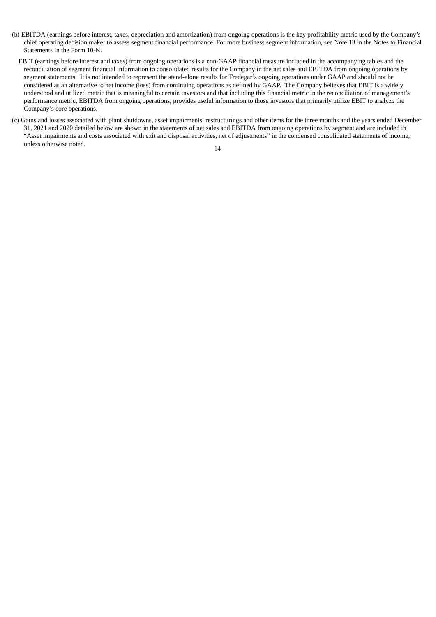- (b) EBITDA (earnings before interest, taxes, depreciation and amortization) from ongoing operations is the key profitability metric used by the Company's chief operating decision maker to assess segment financial performance. For more business segment information, see Note 13 in the Notes to Financial Statements in the Form 10-K.
	- EBIT (earnings before interest and taxes) from ongoing operations is a non-GAAP financial measure included in the accompanying tables and the reconciliation of segment financial information to consolidated results for the Company in the net sales and EBITDA from ongoing operations by segment statements. It is not intended to represent the stand-alone results for Tredegar's ongoing operations under GAAP and should not be considered as an alternative to net income (loss) from continuing operations as defined by GAAP. The Company believes that EBIT is a widely understood and utilized metric that is meaningful to certain investors and that including this financial metric in the reconciliation of management's performance metric, EBITDA from ongoing operations, provides useful information to those investors that primarily utilize EBIT to analyze the Company's core operations.
- (c) Gains and losses associated with plant shutdowns, asset impairments, restructurings and other items for the three months and the years ended December 31, 2021 and 2020 detailed below are shown in the statements of net sales and EBITDA from ongoing operations by segment and are included in "Asset impairments and costs associated with exit and disposal activities, net of adjustments" in the condensed consolidated statements of income, unless otherwise noted.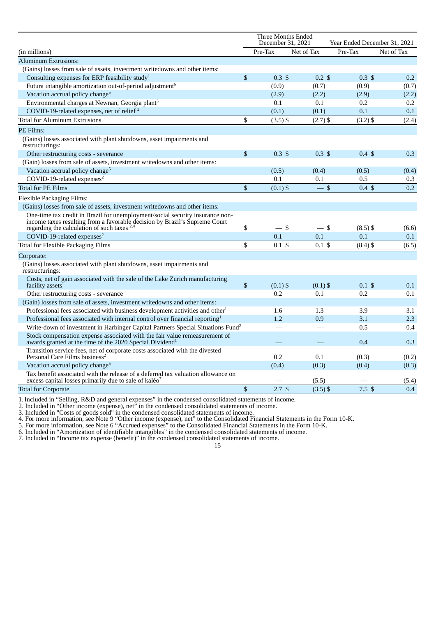|                                                                                                                                                       |               | <b>Three Months Ended</b><br>December 31, 2021<br>Year Ended December 31, 2021 |                  |                   |            |  |  |
|-------------------------------------------------------------------------------------------------------------------------------------------------------|---------------|--------------------------------------------------------------------------------|------------------|-------------------|------------|--|--|
| (in millions)                                                                                                                                         |               | Pre-Tax                                                                        | Net of Tax       | Pre-Tax           | Net of Tax |  |  |
| <b>Aluminum Extrusions:</b>                                                                                                                           |               |                                                                                |                  |                   |            |  |  |
| (Gains) losses from sale of assets, investment writedowns and other items:                                                                            |               |                                                                                |                  |                   |            |  |  |
| Consulting expenses for ERP feasibility study <sup>1</sup>                                                                                            | $\mathbb{S}$  | $0.3 \text{ } $$                                                               | $0.2 \text{ } $$ | $0.3 \text{ } $$  | 0.2        |  |  |
| Futura intangible amortization out-of-period adjustment <sup>6</sup>                                                                                  |               | (0.9)                                                                          | (0.7)            | (0.9)             | (0.7)      |  |  |
| Vacation accrual policy change <sup>5</sup>                                                                                                           |               | (2.9)                                                                          | (2.2)            | (2.9)             | (2.2)      |  |  |
| Environmental charges at Newnan, Georgia plant <sup>3</sup>                                                                                           |               | 0.1                                                                            | 0.1              | 0.2               | 0.2        |  |  |
| COVID-19-related expenses, net of relief <sup>2</sup>                                                                                                 |               | (0.1)                                                                          | (0.1)            | 0.1               | 0.1        |  |  |
| <b>Total for Aluminum Extrusions</b>                                                                                                                  | \$            | $(3.5)$ \$                                                                     | $(2.7)$ \$       | $(3.2)$ \$        | (2.4)      |  |  |
| PE Films:                                                                                                                                             |               |                                                                                |                  |                   |            |  |  |
| (Gains) losses associated with plant shutdowns, asset impairments and<br>restructurings:                                                              |               |                                                                                |                  |                   |            |  |  |
| Other restructuring costs - severance                                                                                                                 | $\mathbf{\$}$ | $0.3 \text{ } $$                                                               | $0.3 \text{ } $$ | $0.4 \text{ } $$  | 0.3        |  |  |
| (Gain) losses from sale of assets, investment writedowns and other items:                                                                             |               |                                                                                |                  |                   |            |  |  |
| Vacation accrual policy change <sup>5</sup>                                                                                                           |               | (0.5)                                                                          | (0.4)            | (0.5)             | (0.4)      |  |  |
| COVID-19-related expenses <sup>2</sup>                                                                                                                |               | 0.1                                                                            | 0.1              | 0.5               | 0.3        |  |  |
| <b>Total for PE Films</b>                                                                                                                             | \$            | $(0.1)$ \$                                                                     | $-$ \$           | $0.4 \text{ } $$  | 0.2        |  |  |
| Flexible Packaging Films:                                                                                                                             |               |                                                                                |                  |                   |            |  |  |
| (Gains) losses from sale of assets, investment writedowns and other items:                                                                            |               |                                                                                |                  |                   |            |  |  |
| One-time tax credit in Brazil for unemployment/social security insurance non-                                                                         |               |                                                                                |                  |                   |            |  |  |
| income taxes resulting from a favorable decision by Brazil's Supreme Court<br>regarding the calculation of such taxes $2,4$                           | \$            | $-$ \$                                                                         | — \$             | $(8.5)$ \$        | (6.6)      |  |  |
| COVID-19-related expenses <sup>2</sup>                                                                                                                |               | 0.1                                                                            | 0.1              | 0.1               | 0.1        |  |  |
| <b>Total for Flexible Packaging Films</b>                                                                                                             | \$            | $0.1\text{ }$$                                                                 | $0.1$ \$         | $(8.4)$ \$        | (6.5)      |  |  |
|                                                                                                                                                       |               |                                                                                |                  |                   |            |  |  |
| Corporate:                                                                                                                                            |               |                                                                                |                  |                   |            |  |  |
| (Gains) losses associated with plant shutdowns, asset impairments and<br>restructurings:                                                              |               |                                                                                |                  |                   |            |  |  |
| Costs, net of gain associated with the sale of the Lake Zurich manufacturing<br>facility assets                                                       | \$            | $(0.1)$ \$                                                                     | $(0.1)$ \$       | $0.1 \text{ }$ \$ | 0.1        |  |  |
| Other restructuring costs - severance                                                                                                                 |               | 0.2                                                                            | 0.1              | 0.2               | 0.1        |  |  |
| (Gain) losses from sale of assets, investment writedowns and other items:                                                                             |               |                                                                                |                  |                   |            |  |  |
| Professional fees associated with business development activities and other <sup>1</sup>                                                              |               | 1.6                                                                            | 1.3              | 3.9               | 3.1        |  |  |
| Professional fees associated with internal control over financial reporting <sup>1</sup>                                                              |               | 1.2                                                                            | 0.9              | 3.1               | 2.3        |  |  |
| Write-down of investment in Harbinger Capital Partners Special Situations Fund <sup>2</sup>                                                           |               |                                                                                |                  | 0.5               | 0.4        |  |  |
| Stock compensation expense associated with the fair value remeasurement of<br>awards granted at the time of the 2020 Special Dividend <sup>1</sup>    |               |                                                                                |                  | 0.4               | 0.3        |  |  |
| Transition service fees, net of corporate costs associated with the divested<br>Personal Care Films business <sup>2</sup>                             |               | 0.2                                                                            | 0.1              | (0.3)             | (0.2)      |  |  |
| Vacation accrual policy change <sup>5</sup>                                                                                                           |               | (0.4)                                                                          | (0.3)            | (0.4)             | (0.3)      |  |  |
| Tax benefit associated with the release of a deferred tax valuation allowance on<br>excess capital losses primarily due to sale of kaléo <sup>7</sup> |               |                                                                                | (5.5)            |                   | (5.4)      |  |  |
| <b>Total for Corporate</b>                                                                                                                            | \$            | 2.7 <sup>5</sup>                                                               | $(3.5)$ \$       | 7.5 <sup>5</sup>  | 0.4        |  |  |
|                                                                                                                                                       |               |                                                                                |                  |                   |            |  |  |

1.Included in "Selling, R&D and general expenses" in the condensed consolidated statements of income.

2. Included in "Other income (expense), net" in the condensed consolidated statements of income.

3. Included in "Costs of goods sold" in the condensed consolidated statements of income.

4. For more information, see Note 9 "Other income (expense), net" to the Consolidated Financial Statements in the Form 10-K.

5. For more information, see Note 6 "Accrued expenses" to the Consolidated Financial Statements in the Form 10-K.

6. Included in "Amortization of identifiable intangibles" in the condensed consolidated statements of income.

7. Included in "Income tax expense (benefit)" in the condensed consolidated statements of income.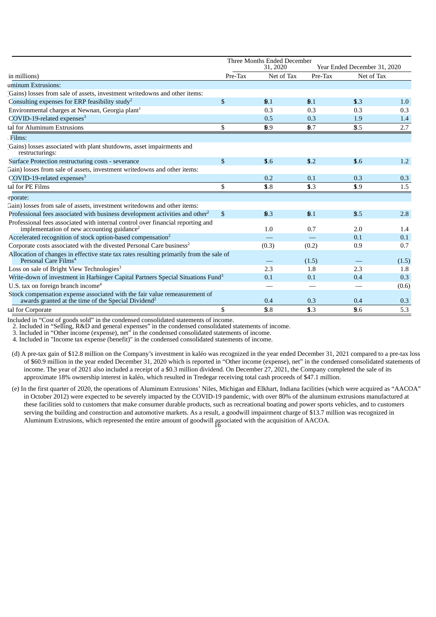|                                                                                                                                               | Three Months Ended December |                |                              |            |       |  |  |  |  |
|-----------------------------------------------------------------------------------------------------------------------------------------------|-----------------------------|----------------|------------------------------|------------|-------|--|--|--|--|
|                                                                                                                                               |                             | 31, 2020       | Year Ended December 31, 2020 |            |       |  |  |  |  |
| in millions)                                                                                                                                  | Pre-Tax                     | Net of Tax     | Pre-Tax                      | Net of Tax |       |  |  |  |  |
| uminum Extrusions:                                                                                                                            |                             |                |                              |            |       |  |  |  |  |
| Gains) losses from sale of assets, investment writedowns and other items:                                                                     |                             |                |                              |            |       |  |  |  |  |
| Consulting expenses for ERP feasibility study <sup>2</sup>                                                                                    | $\sqrt{2}$                  | $\mathbf{0.1}$ | $\mathbf{0.1}$               | 3.3        | 1.0   |  |  |  |  |
| Environmental charges at Newnan, Georgia plant <sup>1</sup>                                                                                   |                             | 0.3            | 0.3                          | 0.3        | 0.3   |  |  |  |  |
| $COVID-19$ -related expenses <sup>3</sup>                                                                                                     |                             | 0.5            | 0.3                          | 1.9        | 1.4   |  |  |  |  |
| tal for Aluminum Extrusions                                                                                                                   | \$                          | 0.9            | $\mathbf{0.7}$               | 3.5        | 2.7   |  |  |  |  |
| Films:                                                                                                                                        |                             |                |                              |            |       |  |  |  |  |
| Gains) losses associated with plant shutdowns, asset impairments and<br>restructurings:                                                       |                             |                |                              |            |       |  |  |  |  |
| Surface Protection restructuring costs - severance                                                                                            | $\mathbb{S}$                | \$.6           | \$.2                         | \$.6       | 1.2   |  |  |  |  |
| Gain) losses from sale of assets, investment writedowns and other items:                                                                      |                             |                |                              |            |       |  |  |  |  |
| $COVID-19$ -related expenses <sup>3</sup>                                                                                                     |                             | 0.2            | 0.1                          | 0.3        | 0.3   |  |  |  |  |
| tal for PE Films                                                                                                                              | \$                          | \$.8           | \$3.3                        | \$.9       | 1.5   |  |  |  |  |
| rporate:                                                                                                                                      |                             |                |                              |            |       |  |  |  |  |
| Gain) losses from sale of assets, investment writedowns and other items:                                                                      |                             |                |                              |            |       |  |  |  |  |
| Professional fees associated with business development activities and other <sup>2</sup>                                                      | $\mathbb{S}$                | $\mathbf{0.3}$ | $\mathbf{0.1}$               | 3.5        | 2.8   |  |  |  |  |
| Professional fees associated with internal control over financial reporting and                                                               |                             |                |                              |            |       |  |  |  |  |
| implementation of new accounting guidance <sup>2</sup>                                                                                        |                             | 1.0            | 0.7                          | 2.0        | 1.4   |  |  |  |  |
| Accelerated recognition of stock option-based compensation <sup>2</sup>                                                                       |                             |                |                              | 0.1        | 0.1   |  |  |  |  |
| Corporate costs associated with the divested Personal Care business <sup>2</sup>                                                              |                             | (0.3)          | (0.2)                        | 0.9        | 0.7   |  |  |  |  |
| Allocation of changes in effective state tax rates resulting primarily from the sale of<br>Personal Care Films <sup>4</sup>                   |                             |                | (1.5)                        |            | (1.5) |  |  |  |  |
| Loss on sale of Bright View Technologies <sup>3</sup>                                                                                         |                             | 2.3            | 1.8                          | 2.3        | 1.8   |  |  |  |  |
| Write-down of investment in Harbinger Capital Partners Special Situations Fund <sup>3</sup>                                                   |                             | 0.1            | 0.1                          | 0.4        | 0.3   |  |  |  |  |
| U.S. tax on foreign branch income <sup>4</sup>                                                                                                |                             |                |                              |            | (0.6) |  |  |  |  |
| Stock compensation expense associated with the fair value remeasurement of<br>awards granted at the time of the Special Dividend <sup>2</sup> |                             | 0.4            | 0.3                          | 0.4        | 0.3   |  |  |  |  |
| tal for Corporate                                                                                                                             | \$                          | 3.8            | \$3.3                        | 9.6        | 5.3   |  |  |  |  |

Included in "Cost of goods sold" in the condensed consolidated statements of income.

2. Included in "Selling, R&D and general expenses" in the condensed consolidated statements of income.

3. Included in "Other income (expense), net" in the condensed consolidated statements of income.

4. Included in "Income tax expense (benefit)" in the condensed consolidated statements of income.

(d) A pre-tax gain of \$12.8 million on the Company's investment in kaléo was recognized in the year ended December 31, 2021 compared to a pre-tax loss of \$60.9 million in the year ended December 31, 2020 which is reported in "Other income (expense), net" in the condensed consolidated statements of income. The year of 2021 also included a receipt of a \$0.3 million dividend. On December 27, 2021, the Company completed the sale of its approximate 18% ownership interest in kaléo, which resulted in Tredegar receiving total cash proceeds of \$47.1 million.

(e) In the first quarter of 2020, the operations of Aluminum Extrusions' Niles, Michigan and Elkhart, Indiana facilities (which were acquired as "AACOA" in October 2012) were expected to be severely impacted by the COVID-19 pandemic, with over 80% of the aluminum extrusions manufactured at these facilities sold to customers that make consumer durable products, such as recreational boating and power sports vehicles, and to customers serving the building and construction and automotive markets. As a result, a goodwill impairment charge of \$13.7 million was recognized in Aluminum Extrusions, which represented the entire amount of goodwill associated with the acquisition of AACOA. 16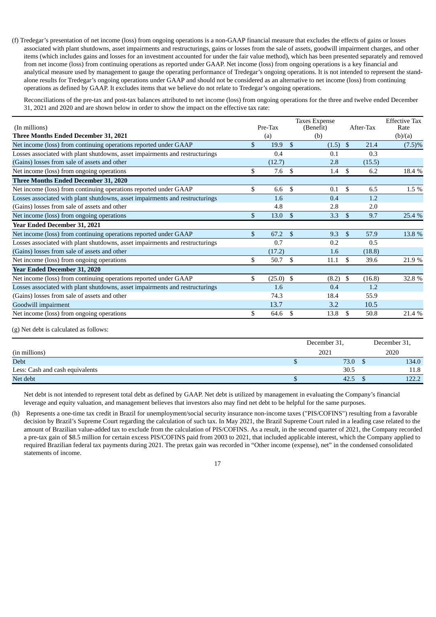(f) Tredegar's presentation of net income (loss) from ongoing operations is a non-GAAP financial measure that excludes the effects of gains or losses associated with plant shutdowns, asset impairments and restructurings, gains or losses from the sale of assets, goodwill impairment charges, and other items (which includes gains and losses for an investment accounted for under the fair value method), which has been presented separately and removed from net income (loss) from continuing operations as reported under GAAP. Net income (loss) from ongoing operations is a key financial and analytical measure used by management to gauge the operating performance of Tredegar's ongoing operations. It is not intended to represent the standalone results for Tredegar's ongoing operations under GAAP and should not be considered as an alternative to net income (loss) from continuing operations as defined by GAAP. It excludes items that we believe do not relate to Tredegar's ongoing operations.

Reconciliations of the pre-tax and post-tax balances attributed to net income (loss) from ongoing operations for the three and twelve ended December 31, 2021 and 2020 and are shown below in order to show the impact on the effective tax rate:

| (In millions)                                                                |               | Taxes Expense<br>Pre-Tax<br>(Benefit) |               |       | After-Tax      |        | <b>Effective Tax</b><br>Rate |
|------------------------------------------------------------------------------|---------------|---------------------------------------|---------------|-------|----------------|--------|------------------------------|
| <b>Three Months Ended December 31, 2021</b>                                  |               | (a)                                   |               | (b)   |                |        | (b)/(a)                      |
| Net income (loss) from continuing operations reported under GAAP             | \$            | 19.9                                  | $\mathbf{\$}$ | (1.5) | $\mathfrak{S}$ | 21.4   | $(7.5)\%$                    |
| Losses associated with plant shutdowns, asset impairments and restructurings |               | 0.4                                   |               | 0.1   |                | 0.3    |                              |
| (Gains) losses from sale of assets and other                                 |               | (12.7)                                |               | 2.8   |                | (15.5) |                              |
| Net income (loss) from ongoing operations                                    | \$.           | 7.6                                   | \$.           | 1.4   | \$             | 6.2    | 18.4 %                       |
| <b>Three Months Ended December 31, 2020</b>                                  |               |                                       |               |       |                |        |                              |
| Net income (loss) from continuing operations reported under GAAP             | \$            | 6.6                                   | \$            | 0.1   | \$             | 6.5    | 1.5 %                        |
| Losses associated with plant shutdowns, asset impairments and restructurings |               | 1.6                                   |               | 0.4   |                | 1.2    |                              |
| (Gains) losses from sale of assets and other                                 |               | 4.8                                   |               | 2.8   |                | 2.0    |                              |
| Net income (loss) from ongoing operations                                    | $\mathbf{\$}$ | 13.0                                  | $\mathbf{\$}$ | 3.3   | -\$            | 9.7    | 25.4 %                       |
| Year Ended December 31, 2021                                                 |               |                                       |               |       |                |        |                              |
| Net income (loss) from continuing operations reported under GAAP             | $\mathbf{\$}$ | 67.2                                  | -\$           | 9.3   | -\$            | 57.9   | 13.8 %                       |
| Losses associated with plant shutdowns, asset impairments and restructurings |               | 0.7                                   |               | 0.2   |                | 0.5    |                              |
| (Gains) losses from sale of assets and other                                 |               | (17.2)                                |               | 1.6   |                | (18.8) |                              |
| Net income (loss) from ongoing operations                                    | \$            | 50.7                                  | - \$          | 11.1  | \$             | 39.6   | 21.9%                        |
| Year Ended December 31, 2020                                                 |               |                                       |               |       |                |        |                              |
| Net income (loss) from continuing operations reported under GAAP             | \$            | $(25.0)$ \$                           |               | (8.2) | \$             | (16.8) | 32.8 %                       |
| Losses associated with plant shutdowns, asset impairments and restructurings |               | 1.6                                   |               | 0.4   |                | 1.2    |                              |
| (Gains) losses from sale of assets and other                                 |               | 74.3                                  |               | 18.4  |                | 55.9   |                              |
| Goodwill impairment                                                          |               | 13.7                                  |               | 3.2   |                | 10.5   |                              |
| Net income (loss) from ongoing operations                                    | \$            | 64.6                                  | \$            | 13.8  | \$             | 50.8   | 21.4 %                       |

(g) Net debt is calculated as follows:

|                                 | December 31, | December 31, |  |  |
|---------------------------------|--------------|--------------|--|--|
| (in millions)                   | 2021         | 2020         |  |  |
| <b>Debt</b>                     | 73.0         | 134.0        |  |  |
| Less: Cash and cash equivalents | 30.5         | 11.8         |  |  |
| Net debt                        | 42.5         | 122.2        |  |  |

Net debt is not intended to represent total debt as defined by GAAP. Net debt is utilized by management in evaluating the Company's financial leverage and equity valuation, and management believes that investors also may find net debt to be helpful for the same purposes.

(h) Represents a one-time tax credit in Brazil for unemployment/social security insurance non-income taxes ("PIS/COFINS") resulting from a favorable decision by Brazil's Supreme Court regarding the calculation of such tax. In May 2021, the Brazil Supreme Court ruled in a leading case related to the amount of Brazilian value-added tax to exclude from the calculation of PIS/COFINS. As a result, in the second quarter of 2021, the Company recorded a pre-tax gain of \$8.5 million for certain excess PIS/COFINS paid from 2003 to 2021, that included applicable interest, which the Company applied to required Brazilian federal tax payments during 2021. The pretax gain was recorded in "Other income (expense), net" in the condensed consolidated statements of income.